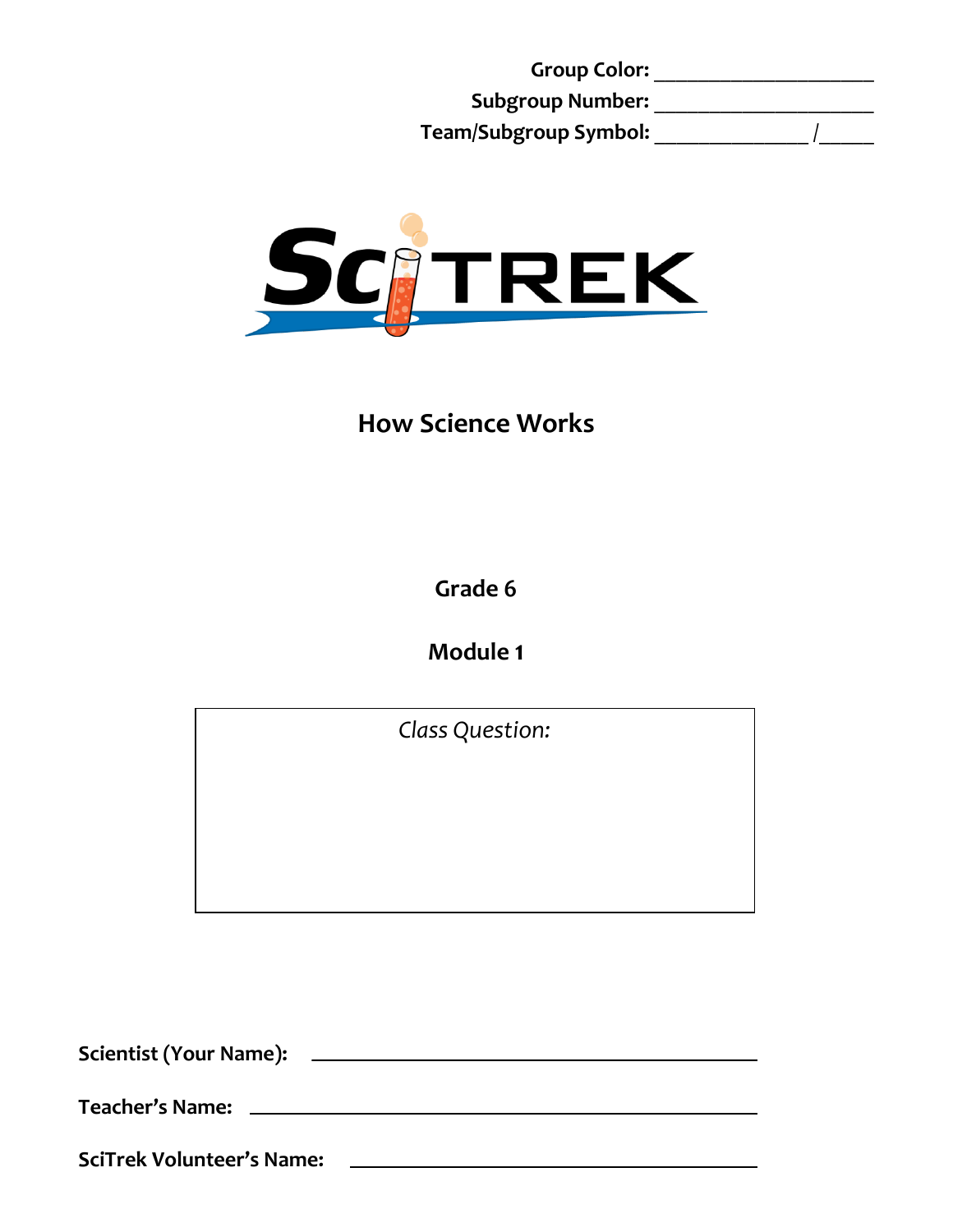**Group Color:** \_\_\_\_\_\_\_\_\_\_\_\_\_\_\_\_\_\_\_\_ **Subgroup Number:** \_\_\_\_\_\_\_\_\_\_\_\_\_\_\_\_\_\_\_\_ **Team/Subgroup Symbol:** \_\_\_\_\_\_\_\_\_\_\_\_\_\_ /\_\_\_\_\_



# **How Science Works**

**Grade 6**

**Module 1**

*Class Question:*

<u>and the state of the state of the state of the state of the state of the state of the state of the state of the state of the state of the state of the state of the state of the state of the state of the state of the state</u>

**Scientist (Your Name):**

**Teacher's Name:**

**SciTrek Volunteer's Name:**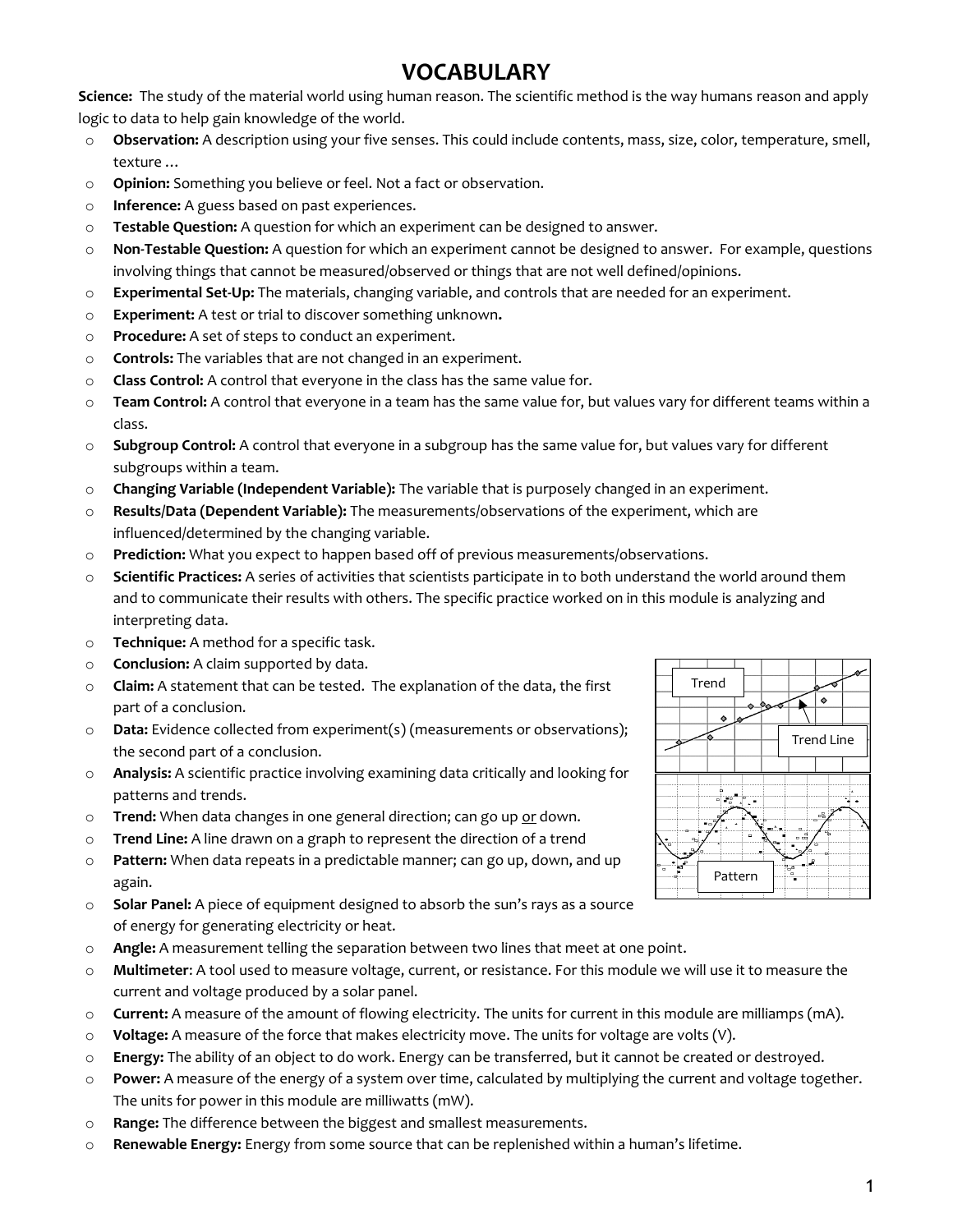### **VOCABULARY**

**Science:** The study of the material world using human reason. The scientific method is the way humans reason and apply logic to data to help gain knowledge of the world.

- o **Observation:** A description using your five senses. This could include contents, mass, size, color, temperature, smell, texture …
- o **Opinion:** Something you believe or feel. Not a fact or observation.
- o **Inference:** A guess based on past experiences.
- o **Testable Question:** A question for which an experiment can be designed to answer.
- o **Non-Testable Question:** A question for which an experiment cannot be designed to answer. For example, questions involving things that cannot be measured/observed or things that are not well defined/opinions.
- o **Experimental Set-Up:** The materials, changing variable, and controls that are needed for an experiment.
- o **Experiment:** A test or trial to discover something unknown**.**
- o **Procedure:** A set of steps to conduct an experiment.
- o **Controls:** The variables that are not changed in an experiment.
- o **Class Control:** A control that everyone in the class has the same value for.
- o **Team Control:** A control that everyone in a team has the same value for, but values vary for different teams within a class.
- o **Subgroup Control:** A control that everyone in a subgroup has the same value for, but values vary for different subgroups within a team.
- o **Changing Variable (Independent Variable):** The variable that is purposely changed in an experiment.
- o **Results/Data (Dependent Variable):** The measurements/observations of the experiment, which are influenced/determined by the changing variable.
- o **Prediction:** What you expect to happen based off of previous measurements/observations.
- o **Scientific Practices:** A series of activities that scientists participate in to both understand the world around them and to communicate their results with others. The specific practice worked on in this module is analyzing and interpreting data.
- o **Technique:** A method for a specific task.
- o **Conclusion:** A claim supported by data.
- o **Claim:** A statement that can be tested. The explanation of the data, the first part of a conclusion.
- o **Data:** Evidence collected from experiment(s) (measurements or observations); the second part of a conclusion.
- o **Analysis:** A scientific practice involving examining data critically and looking for patterns and trends.
- o **Trend:** When data changes in one general direction; can go up or down.
- o **Trend Line:** A line drawn on a graph to represent the direction of a trend
- o **Pattern:** When data repeats in a predictable manner; can go up, down, and up again.
- o **Solar Panel:** A piece of equipment designed to absorb the sun's rays as a source of energy for generating electricity or heat.
- o **Angle:** A measurement telling the separation between two lines that meet at one point.
- o **Multimeter**: A tool used to measure voltage, current, or resistance. For this module we will use it to measure the current and voltage produced by a solar panel.
- o **Current:** A measure of the amount of flowing electricity. The units for current in this module are milliamps (mA).
- o **Voltage:** A measure of the force that makes electricity move. The units for voltage are volts (V).
- o **Energy:** The ability of an object to do work. Energy can be transferred, but it cannot be created or destroyed.
- o **Power:** A measure of the energy of a system over time, calculated by multiplying the current and voltage together. The units for power in this module are milliwatts (mW).
- o **Range:** The difference between the biggest and smallest measurements.
- o **Renewable Energy:** Energy from some source that can be replenished within a human's lifetime.

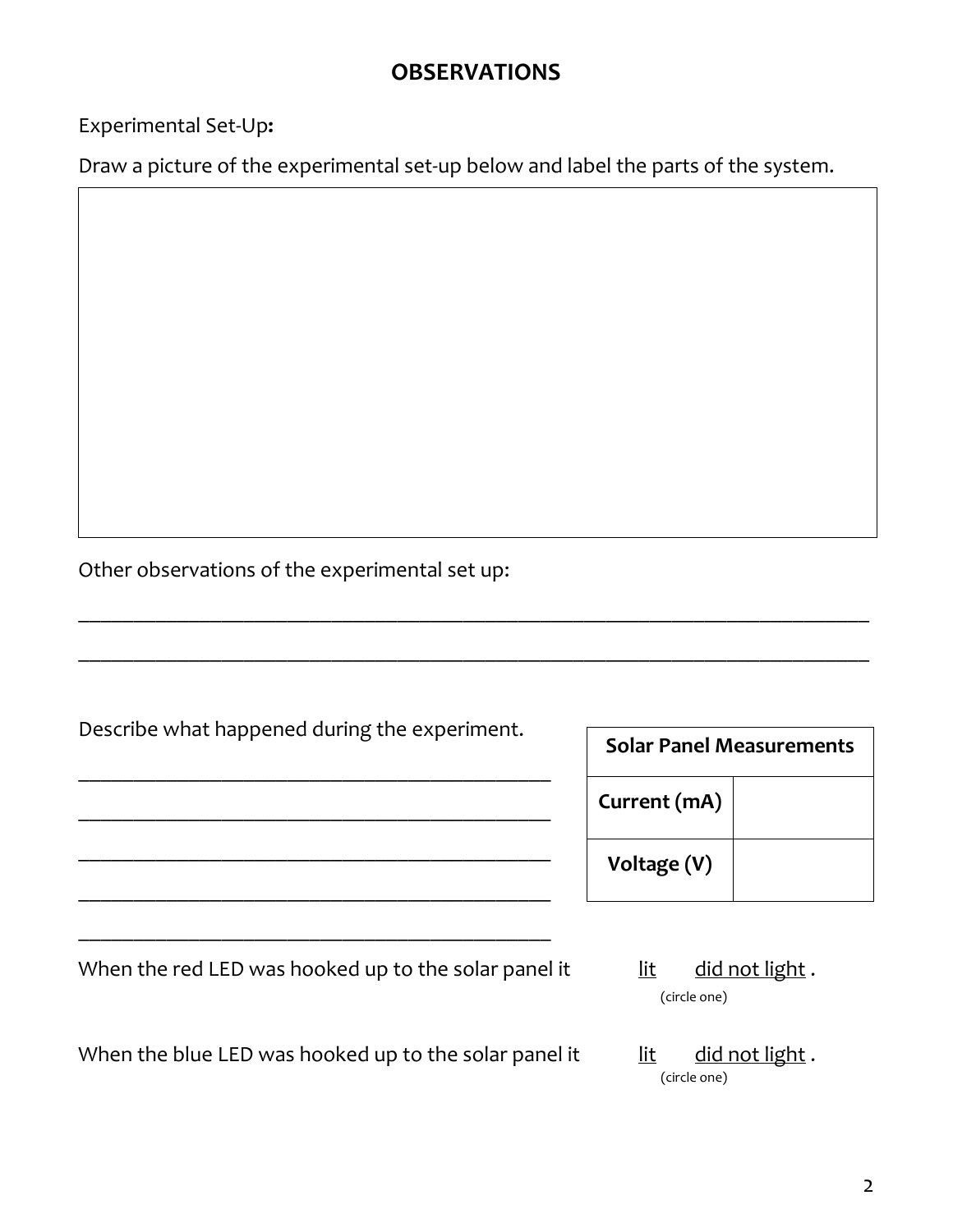## **OBSERVATIONS**

Experimental Set-Up**:** 

Draw a picture of the experimental set-up below and label the parts of the system.

Other observations of the experimental set up:

| Describe what happened during the experiment.        | <b>Solar Panel Measurements</b> |                |
|------------------------------------------------------|---------------------------------|----------------|
|                                                      | Current (mA)                    |                |
|                                                      | Voltage (V)                     |                |
| When the red LED was hooked up to the solar panel it | lit<br>(circle one)             | did not light. |

\_\_\_\_\_\_\_\_\_\_\_\_\_\_\_\_\_\_\_\_\_\_\_\_\_\_\_\_\_\_\_\_\_\_\_\_\_\_\_\_\_\_\_\_\_\_\_\_\_\_\_\_\_\_\_\_\_\_\_\_\_\_\_\_\_\_\_\_\_\_\_\_

\_\_\_\_\_\_\_\_\_\_\_\_\_\_\_\_\_\_\_\_\_\_\_\_\_\_\_\_\_\_\_\_\_\_\_\_\_\_\_\_\_\_\_\_\_\_\_\_\_\_\_\_\_\_\_\_\_\_\_\_\_\_\_\_\_\_\_\_\_\_\_\_

When the blue LED was hooked up to the solar panel it  $\qquad$  lit did not light.

(circle one)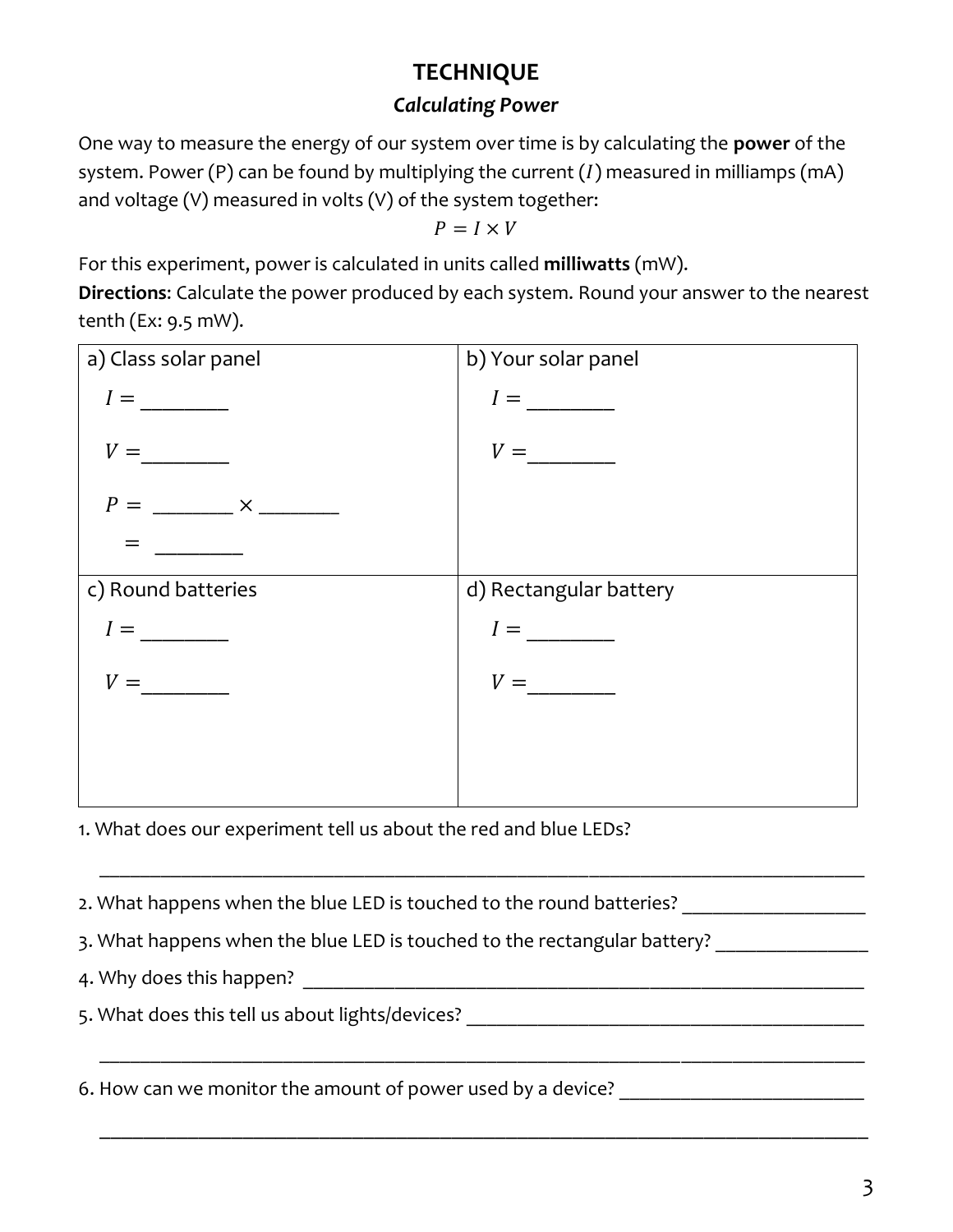# **TECHNIQUE**

### *Calculating Power*

One way to measure the energy of our system over time is by calculating the **power** of the system. Power (P) can be found by multiplying the current  $(I)$  measured in milliamps (mA) and voltage (V) measured in volts (V) of the system together:

 $P = I \times V$ 

For this experiment, power is calculated in units called **milliwatts** (mW).

**Directions**: Calculate the power produced by each system. Round your answer to the nearest tenth (Ex: 9.5 mW).



\_\_\_\_\_\_\_\_\_\_\_\_\_\_\_\_\_\_\_\_\_\_\_\_\_\_\_\_\_\_\_\_\_\_\_\_\_\_\_\_\_\_\_\_\_\_\_\_\_\_\_\_\_\_\_\_\_\_\_\_\_\_\_\_\_\_\_\_\_\_\_\_\_\_\_

\_\_\_\_\_\_\_\_\_\_\_\_\_\_\_\_\_\_\_\_\_\_\_\_\_\_\_\_\_\_\_\_\_\_\_\_\_\_\_\_\_\_\_\_\_\_\_\_\_\_\_\_\_\_\_\_\_\_\_\_\_\_\_\_\_\_\_\_\_\_\_\_\_\_\_

\_\_\_\_\_\_\_\_\_\_\_\_\_\_\_\_\_\_\_\_\_\_\_\_\_\_\_\_\_\_\_\_\_\_\_\_\_\_\_\_\_\_\_\_\_\_\_\_\_\_\_\_\_\_\_\_\_\_\_\_\_\_\_\_\_\_\_\_\_\_

1. What does our experiment tell us about the red and blue LEDs?

2. What happens when the blue LED is touched to the round batteries?

3. What happens when the blue LED is touched to the rectangular battery?

4. Why does this happen?

5. What does this tell us about lights/devices?

6. How can we monitor the amount of power used by a device? \_\_\_\_\_\_\_\_\_\_\_\_\_\_\_\_\_\_\_\_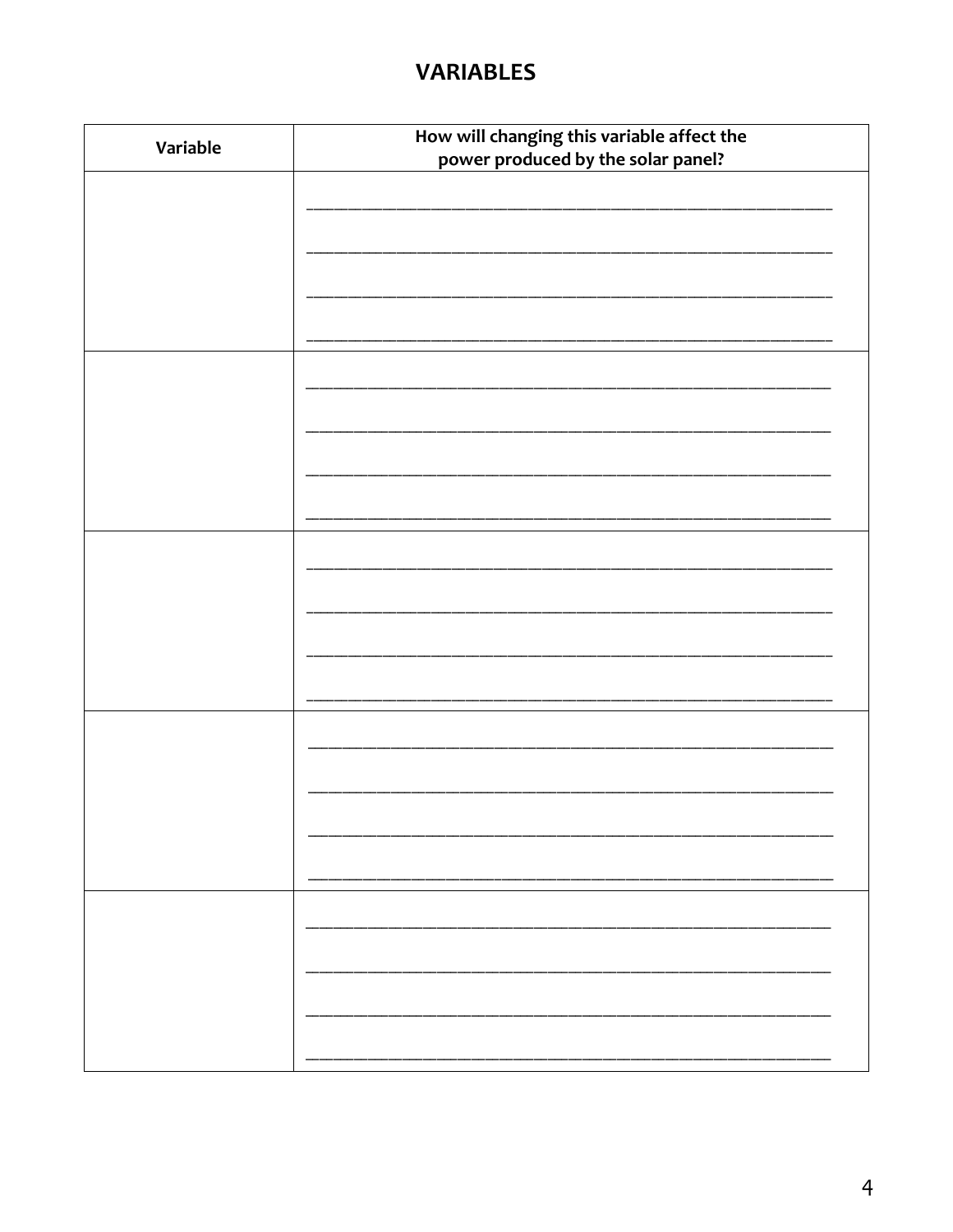### **VARIABLES**

| Variable | How will changing this variable affect the |  |  |  |
|----------|--------------------------------------------|--|--|--|
|          | power produced by the solar panel?         |  |  |  |
|          |                                            |  |  |  |
|          |                                            |  |  |  |
|          |                                            |  |  |  |
|          |                                            |  |  |  |
|          |                                            |  |  |  |
|          |                                            |  |  |  |
|          |                                            |  |  |  |
|          |                                            |  |  |  |
|          |                                            |  |  |  |
|          |                                            |  |  |  |
|          |                                            |  |  |  |
|          |                                            |  |  |  |
|          |                                            |  |  |  |
|          |                                            |  |  |  |
|          |                                            |  |  |  |
|          |                                            |  |  |  |
|          |                                            |  |  |  |
|          |                                            |  |  |  |
|          |                                            |  |  |  |
|          |                                            |  |  |  |
|          |                                            |  |  |  |
|          |                                            |  |  |  |
|          |                                            |  |  |  |
|          |                                            |  |  |  |
|          |                                            |  |  |  |
|          |                                            |  |  |  |
|          |                                            |  |  |  |
|          |                                            |  |  |  |
|          |                                            |  |  |  |
|          |                                            |  |  |  |
|          |                                            |  |  |  |
|          |                                            |  |  |  |
|          |                                            |  |  |  |
|          |                                            |  |  |  |
|          |                                            |  |  |  |
|          |                                            |  |  |  |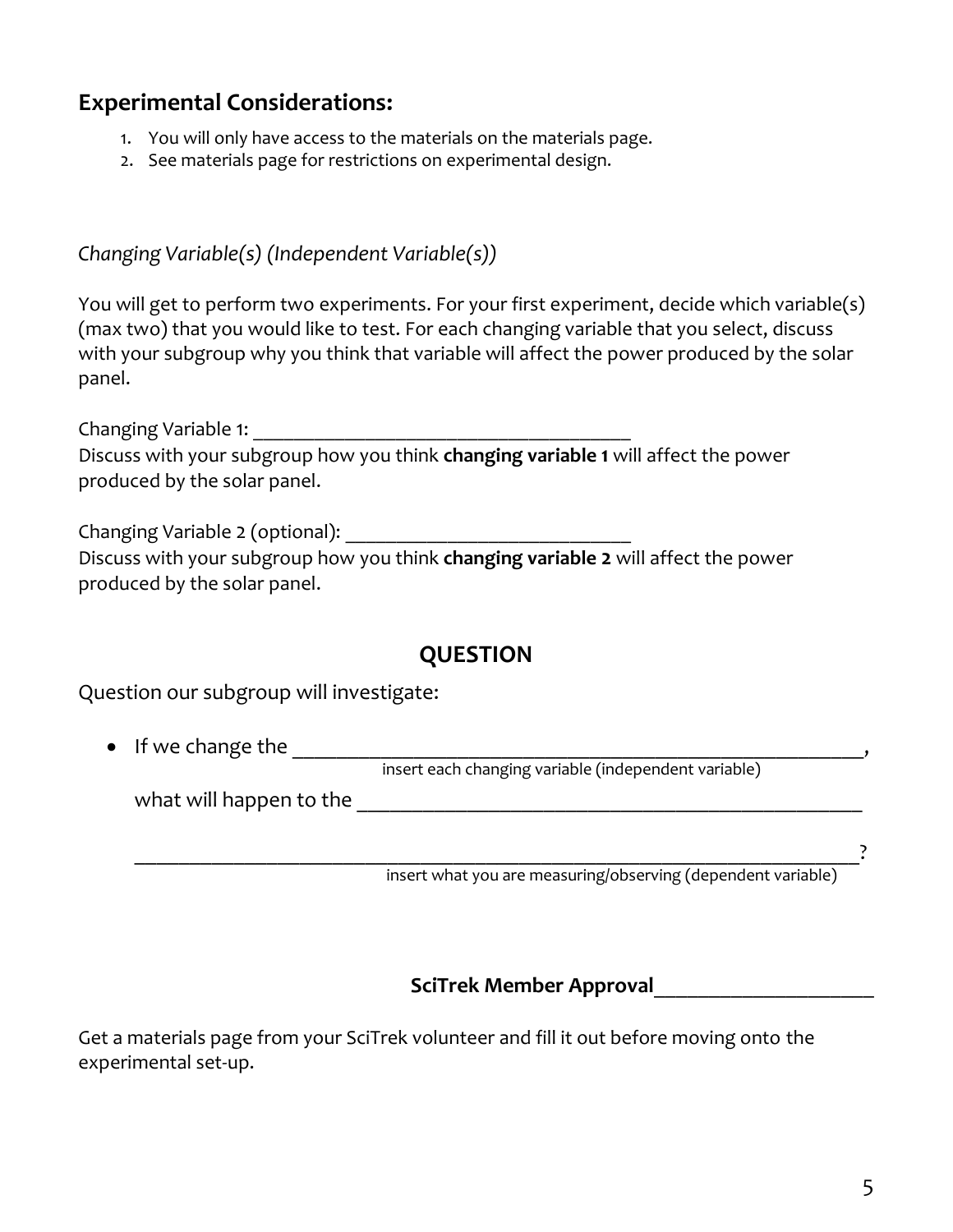# **Experimental Considerations:**

- 1. You will only have access to the materials on the materials page.
- 2. See materials page for restrictions on experimental design.

*Changing Variable(s) (Independent Variable(s))*

You will get to perform two experiments. For your first experiment, decide which variable(s) (max two) that you would like to test. For each changing variable that you select, discuss with your subgroup why you think that variable will affect the power produced by the solar panel.

Changing Variable 1: \_\_\_\_\_\_\_\_\_\_\_\_\_\_\_\_\_\_\_\_\_\_\_\_\_\_\_\_\_\_\_\_\_\_\_\_\_

Discuss with your subgroup how you think **changing variable 1** will affect the power produced by the solar panel.

Changing Variable 2 (optional): \_\_\_\_\_\_\_\_\_\_\_\_\_\_\_\_\_\_\_\_\_\_\_\_\_\_\_\_

Discuss with your subgroup how you think **changing variable 2** will affect the power produced by the solar panel.

#### **QUESTION**

Question our subgroup will investigate:

• If we change the \_\_\_\_\_\_\_\_\_\_\_\_\_\_\_\_\_\_\_\_\_\_\_\_\_\_\_\_\_\_\_\_\_\_\_\_\_\_\_\_\_\_\_\_\_\_\_\_\_\_\_\_,

insert each changing variable (independent variable)

what will happen to the **will** 

\_\_\_\_\_\_\_\_\_\_\_\_\_\_\_\_\_\_\_\_\_\_\_\_\_\_\_\_\_\_\_\_\_\_\_\_\_\_\_\_\_\_\_\_\_\_\_\_\_\_\_\_\_\_\_\_\_\_\_\_\_\_\_\_\_\_? insert what you are measuring/observing (dependent variable)

**SciTrek Member Approval**\_\_\_\_\_\_\_\_\_\_\_\_\_\_\_\_\_\_\_\_

Get a materials page from your SciTrek volunteer and fill it out before moving onto the experimental set-up.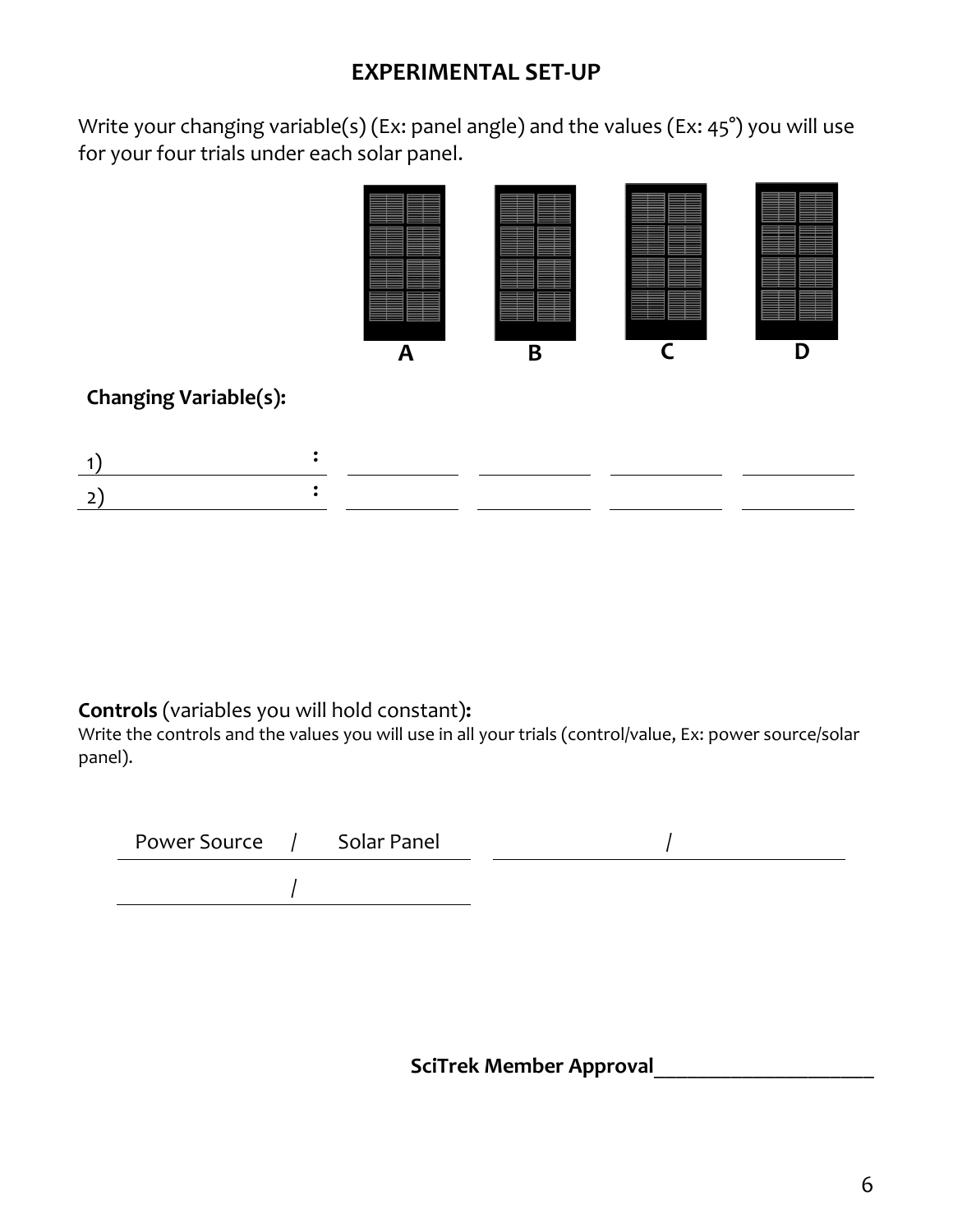## **EXPERIMENTAL SET-UP**

Write your changing variable(s) (Ex: panel angle) and the values (Ex: 45°) you will use for your four trials under each solar panel.



#### **Controls** (variables you will hold constant)**:**

**Changing Variable(s):**

Write the controls and the values you will use in all your trials (control/value, Ex: power source/solar panel).

| Power Source | Solar Panel |  |  |
|--------------|-------------|--|--|
|              |             |  |  |

**SciTrek Member Approval**\_\_\_\_\_\_\_\_\_\_\_\_\_\_\_\_\_\_\_\_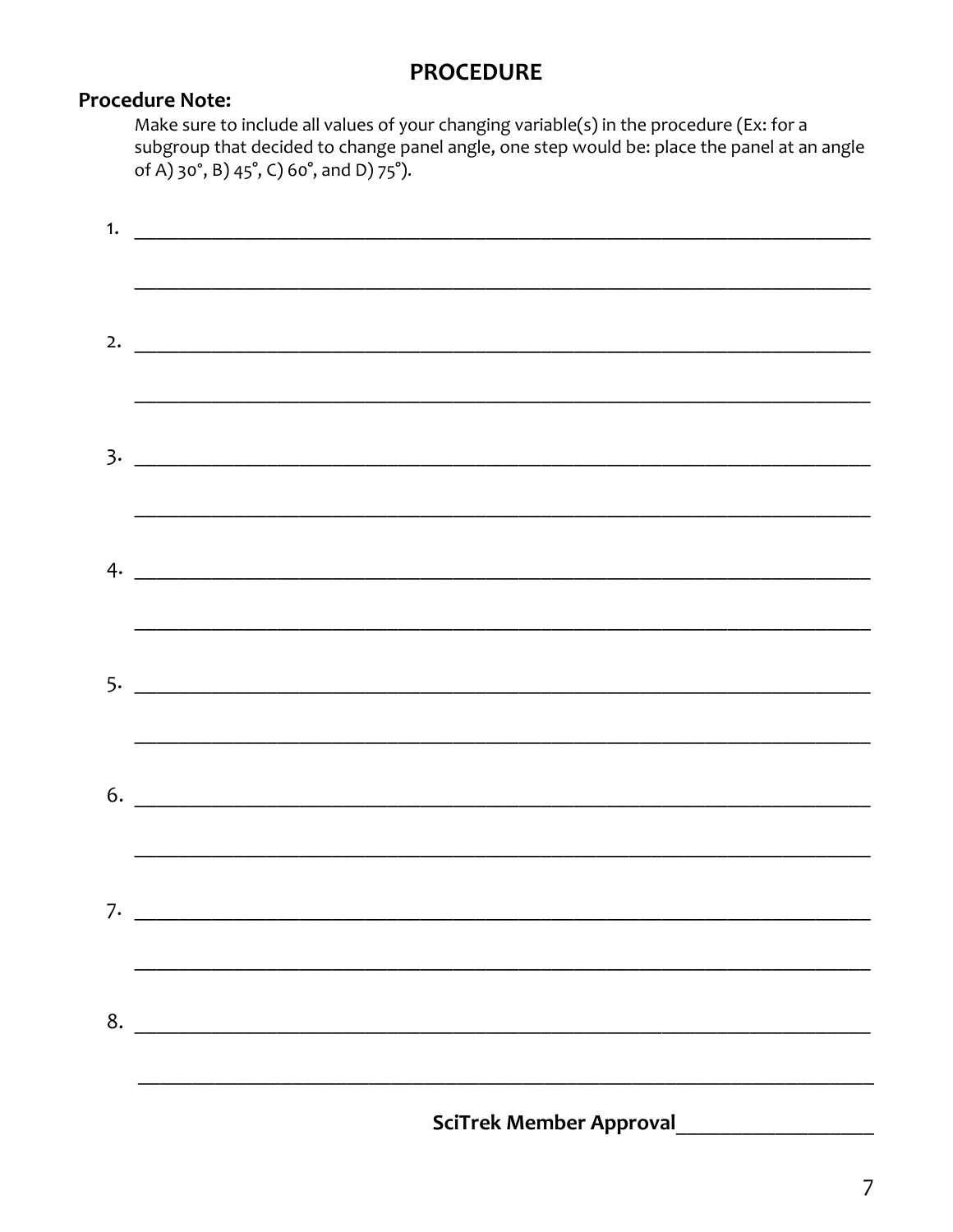#### **PROCEDURE**

#### **Procedure Note:**

Make sure to include all values of your changing variable(s) in the procedure (Ex: for a subgroup that decided to change panel angle, one step would be: place the panel at an angle of A) 30°, B) 45°, C) 60°, and D) 75°).

|    | $\frac{1}{2}$ . The contract of the contract of the contract of the contract of the contract of the contract of the contract of the contract of the contract of the contract of the contract of the contract of the contract of t |
|----|-----------------------------------------------------------------------------------------------------------------------------------------------------------------------------------------------------------------------------------|
|    |                                                                                                                                                                                                                                   |
|    |                                                                                                                                                                                                                                   |
|    |                                                                                                                                                                                                                                   |
|    |                                                                                                                                                                                                                                   |
|    |                                                                                                                                                                                                                                   |
|    |                                                                                                                                                                                                                                   |
|    |                                                                                                                                                                                                                                   |
|    |                                                                                                                                                                                                                                   |
|    |                                                                                                                                                                                                                                   |
|    |                                                                                                                                                                                                                                   |
|    |                                                                                                                                                                                                                                   |
|    |                                                                                                                                                                                                                                   |
|    | $\begin{array}{c}\n6. \quad \textcolor{blue}{\textbf{5.2}}\n\end{array}$                                                                                                                                                          |
|    |                                                                                                                                                                                                                                   |
| 7. |                                                                                                                                                                                                                                   |
|    |                                                                                                                                                                                                                                   |
|    |                                                                                                                                                                                                                                   |
| 8. |                                                                                                                                                                                                                                   |
|    |                                                                                                                                                                                                                                   |
|    | <b>SciTrek Member Approval</b>                                                                                                                                                                                                    |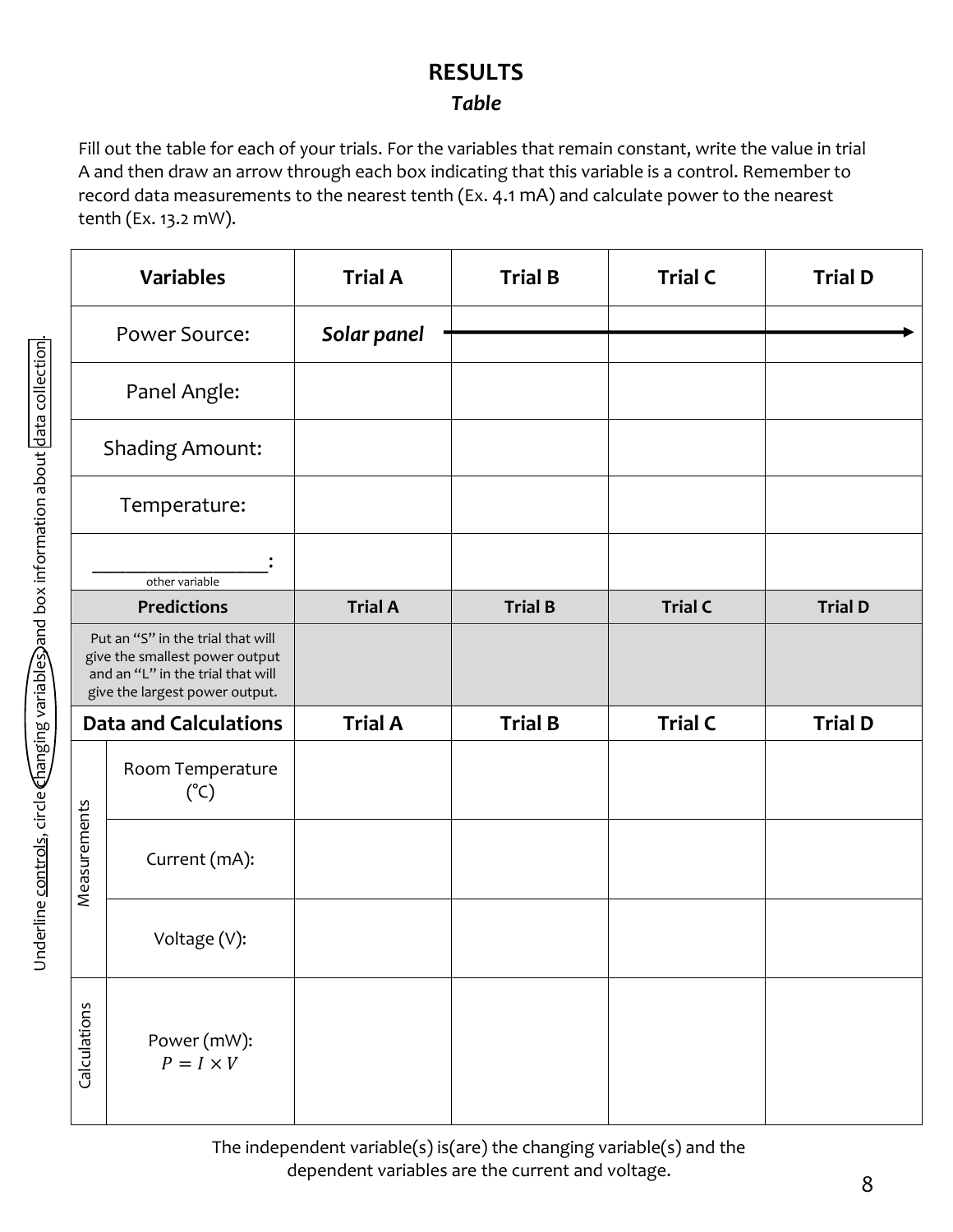# **RESULTS**

#### *Table*

Fill out the table for each of your trials. For the variables that remain constant, write the value in trial A and then draw an arrow through each box indicating that this variable is a control. Remember to record data measurements to the nearest tenth (Ex. 4.1 mA) and calculate power to the nearest tenth (Ex. 13.2 mW).

|              | <b>Variables</b>                                                                                                                           | <b>Trial A</b> | <b>Trial B</b> | <b>Trial C</b> | <b>Trial D</b> |
|--------------|--------------------------------------------------------------------------------------------------------------------------------------------|----------------|----------------|----------------|----------------|
|              | Power Source:                                                                                                                              | Solar panel    |                |                |                |
|              | Panel Angle:                                                                                                                               |                |                |                |                |
|              | <b>Shading Amount:</b>                                                                                                                     |                |                |                |                |
|              | Temperature:                                                                                                                               |                |                |                |                |
|              | other variable                                                                                                                             |                |                |                |                |
|              | <b>Predictions</b>                                                                                                                         | <b>Trial A</b> | <b>Trial B</b> | <b>Trial C</b> | <b>Trial D</b> |
|              | Put an "S" in the trial that will<br>give the smallest power output<br>and an "L" in the trial that will<br>give the largest power output. |                |                |                |                |
|              | <b>Data and Calculations</b>                                                                                                               | <b>Trial A</b> | <b>Trial B</b> | <b>Trial C</b> | <b>Trial D</b> |
|              | Room Temperature<br>$(^{\circ}C)$                                                                                                          |                |                |                |                |
| Measurements | Current (mA):                                                                                                                              |                |                |                |                |
|              | Voltage (V):                                                                                                                               |                |                |                |                |
| Calculations | Power (mW):<br>$P = I \times V$                                                                                                            |                |                |                |                |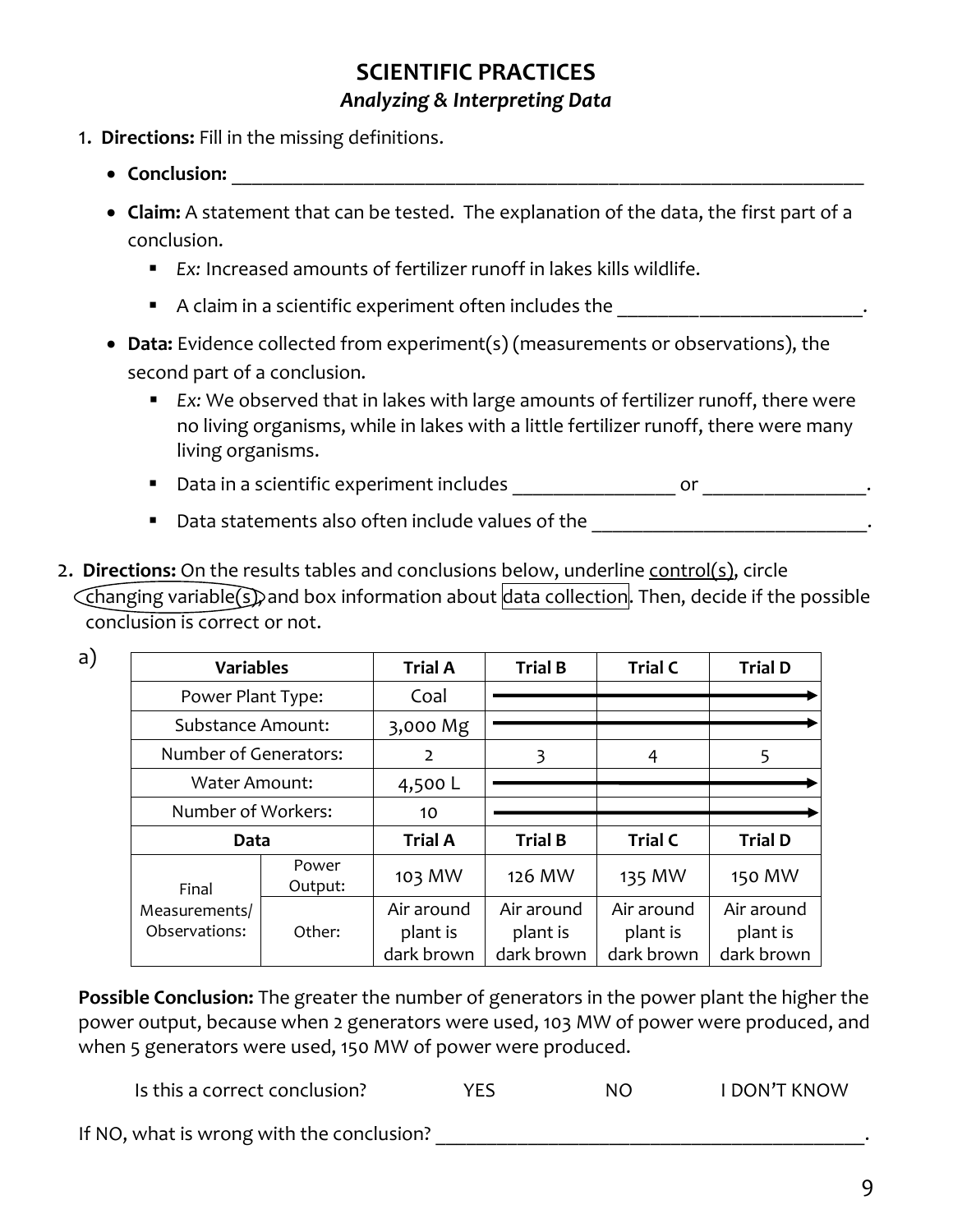- 1. **Directions:** Fill in the missing definitions.
	- Conclusion: **and the contract of the contract of the contract of the contract of the contract of the contract of the contract of the contract of the contract of the contract of the contract of the contract of the contrac**

a)

- **Claim:** A statement that can be tested. The explanation of the data, the first part of a conclusion.
	- *Ex:* Increased amounts of fertilizer runoff in lakes kills wildlife.
	- A claim in a scientific experiment often includes the \_\_\_\_\_\_\_\_\_\_\_\_\_\_\_\_\_\_\_\_\_\_\_\_
- **Data:** Evidence collected from experiment(s) (measurements or observations), the second part of a conclusion.
	- *Ex:* We observed that in lakes with large amounts of fertilizer runoff, there were no living organisms, while in lakes with a little fertilizer runoff, there were many living organisms.
	- Data in a scientific experiment includes \_\_\_\_\_\_\_\_\_\_\_\_\_\_\_\_ or \_\_\_\_\_\_\_\_\_\_\_\_\_\_\_\_.
	- Data statements also often include values of the entity and the contract of the contract of the contract of the contract of the contract of the contract of the contract of the contract of the contract of the contract of
- 2. **Directions:** On the results tables and conclusions below, underline control(s), circle Changing variable(s), and box information about data collection. Then, decide if the possible conclusion is correct or not.

| <b>Variables</b>         |                  | <b>Trial A</b> | <b>Trial B</b> | <b>Trial C</b> | <b>Trial D</b> |
|--------------------------|------------------|----------------|----------------|----------------|----------------|
| Power Plant Type:        |                  | Coal           |                |                |                |
| <b>Substance Amount:</b> |                  | 3,000 Mg       |                |                |                |
| Number of Generators:    |                  | $\overline{2}$ | 3              | 4              | 5              |
| Water Amount:            |                  | 4,500 L        |                |                |                |
| Number of Workers:       |                  | 10             |                |                |                |
| Data                     |                  | <b>Trial A</b> | <b>Trial B</b> | <b>Trial C</b> | <b>Trial D</b> |
| Final                    | Power<br>Output: | 103 MW         | 126 MW         | 135 MW         | 150 MW         |
| Measurements/            |                  | Air around     | Air around     | Air around     | Air around     |
| Observations:            | Other:           | plant is       | plant is       | plant is       | plant is       |
|                          |                  | dark brown     | dark brown     | dark brown     | dark brown     |

**Possible Conclusion:** The greater the number of generators in the power plant the higher the power output, because when 2 generators were used, 103 MW of power were produced, and when 5 generators were used, 150 MW of power were produced.

Is this a correct conclusion? THES THE STATE STATE RESONAL TRIMORY TRIMORY TRIMORY

If NO, what is wrong with the conclusion? The state of the state of the state of the state of the state of the state of the state of the state of the state of the state of the state of the state of the state of the state o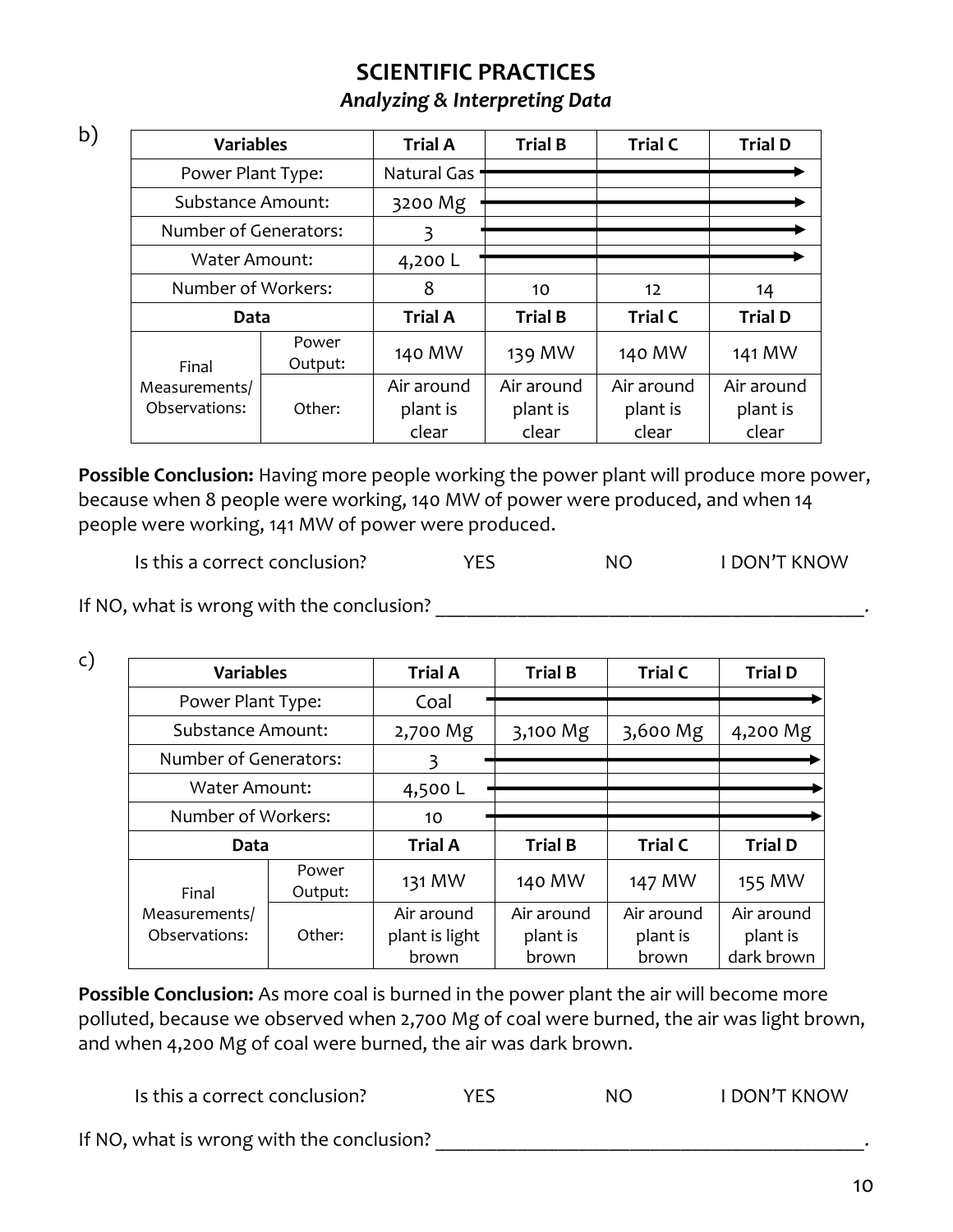| <b>Variables</b>         |                  | <b>Trial A</b> | <b>Trial B</b> | <b>Trial C</b>    | <b>Trial D</b> |
|--------------------------|------------------|----------------|----------------|-------------------|----------------|
| Power Plant Type:        |                  | Natural Gas    |                |                   |                |
| <b>Substance Amount:</b> |                  | 3200 Mg        |                |                   |                |
| Number of Generators:    |                  | 3              |                |                   |                |
| <b>Water Amount:</b>     |                  | 4,200 L        |                |                   |                |
| Number of Workers:       |                  | 8              | 10             | $12 \overline{ }$ | 14             |
| Data                     |                  | <b>Trial A</b> | <b>Trial B</b> | <b>Trial C</b>    | <b>Trial D</b> |
| Final                    | Power<br>Output: | 140 MW         | 139 MW         | 140 MW            | 141 MW         |
| Measurements/            |                  | Air around     | Air around     | Air around        | Air around     |
| Observations:            | Other:           | plant is       | plant is       | plant is          | plant is       |
|                          |                  | clear          | clear          | clear             | clear          |

**Possible Conclusion:** Having more people working the power plant will produce more power, because when 8 people were working, 140 MW of power were produced, and when 14 people were working, 141 MW of power were produced.

Is this a correct conclusion? The MES NO THE MON'T KNOW

If NO, what is wrong with the conclusion? \_\_\_\_\_\_\_\_\_\_\_\_\_\_\_\_\_\_\_\_\_\_\_\_\_\_\_\_\_\_\_\_\_\_\_\_\_\_\_\_\_\_.

b)

c)

| <b>Variables</b>         |                  | <b>Trial A</b> | <b>Trial B</b> | <b>Trial C</b> | <b>Trial D</b> |
|--------------------------|------------------|----------------|----------------|----------------|----------------|
| Power Plant Type:        |                  | Coal           |                |                |                |
| <b>Substance Amount:</b> |                  | 2,700 Mg       | 3,100 Mg       | 3,600 Mg       | 4,200 Mg       |
| Number of Generators:    |                  | 3              |                |                |                |
| <b>Water Amount:</b>     |                  | 4,500 L        |                |                |                |
| Number of Workers:       |                  | 10             |                |                |                |
| Data                     |                  | <b>Trial A</b> | <b>Trial B</b> | <b>Trial C</b> | <b>Trial D</b> |
| Final                    | Power<br>Output: | 131 MW         | 140 MW         | 147 MW         | 155 MW         |
| Measurements/            |                  | Air around     | Air around     | Air around     | Air around     |
| Observations:            | Other:           | plant is light | plant is       | plant is       | plant is       |
|                          |                  | brown          | brown          | brown          | dark brown     |

**Possible Conclusion:** As more coal is burned in the power plant the air will become more polluted, because we observed when 2,700 Mg of coal were burned, the air was light brown, and when 4,200 Mg of coal were burned, the air was dark brown.

Is this a correct conclusion? THES NO I DON'T KNOW If NO, what is wrong with the conclusion?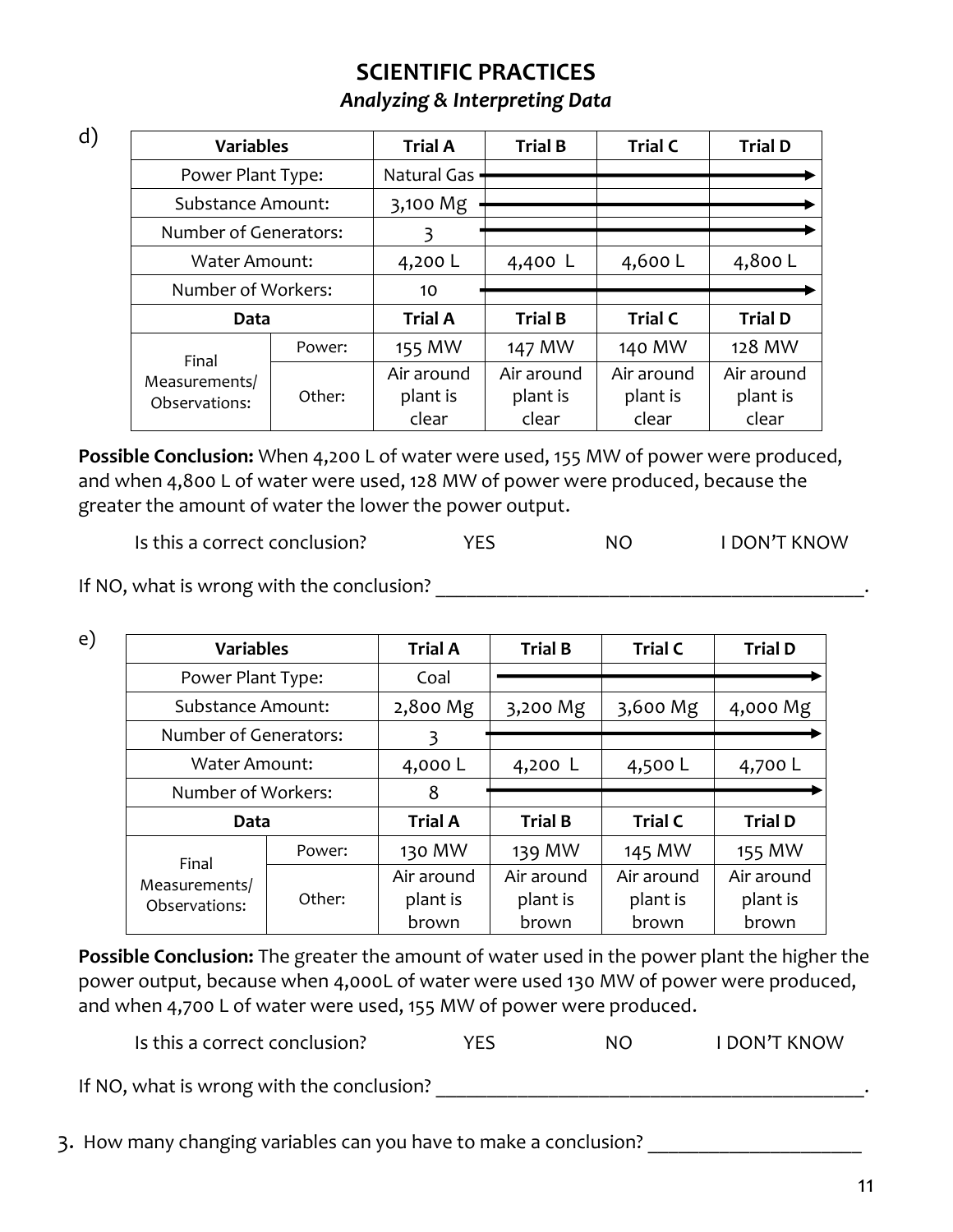| . .            |         |
|----------------|---------|
| ×<br>M.<br>. . | i<br>۰. |

e)

| <b>Variables</b>         |                    | <b>Trial A</b> | <b>Trial B</b> | <b>Trial C</b> | <b>Trial D</b> |
|--------------------------|--------------------|----------------|----------------|----------------|----------------|
| Power Plant Type:        |                    | Natural Gas    |                |                |                |
| <b>Substance Amount:</b> |                    | 3,100 Mg       |                |                |                |
| Number of Generators:    |                    | 3              |                |                |                |
| <b>Water Amount:</b>     |                    | 4,200 L        | 4,400 L        | 4,600L         | 4,800 L        |
|                          | Number of Workers: |                |                |                |                |
| Data                     |                    | <b>Trial A</b> | <b>Trial B</b> | <b>Trial C</b> | <b>Trial D</b> |
| Final                    | Power:             | 155 MW         | 147 MW         | 140 MW         | 128 MW         |
| Measurements/            |                    | Air around     | Air around     | Air around     | Air around     |
| Observations:            | Other:             | plant is       | plant is       | plant is       | plant is       |
|                          |                    | clear          | clear          | clear          | clear          |

**Possible Conclusion:** When 4,200 L of water were used, 155 MW of power were produced, and when 4,800 L of water were used, 128 MW of power were produced, because the greater the amount of water the lower the power output.

Is this a correct conclusion? The MES NO THE MON'T KNOW

If NO, what is wrong with the conclusion? The state of the state of the state of the state of the state of the state of the state of the state of the state of the state of the state of the state of the state of the state o

| <b>Variables</b>               |                    | <b>Trial A</b> | <b>Trial B</b> | <b>Trial C</b> | <b>Trial D</b> |
|--------------------------------|--------------------|----------------|----------------|----------------|----------------|
| Power Plant Type:              |                    | Coal           |                |                |                |
| Substance Amount:              |                    | 2,800 Mg       | 3,200 Mg       | 3,600 Mg       | 4,000 Mg       |
| Number of Generators:          |                    | 3              |                |                |                |
| Water Amount:                  |                    | 4,000L         | 4,200 L        | 4,500 L        | 4,700 L        |
|                                | Number of Workers: |                |                |                |                |
|                                |                    |                |                |                |                |
| Data                           |                    | <b>Trial A</b> | <b>Trial B</b> | <b>Trial C</b> | <b>Trial D</b> |
|                                | Power:             | 130 MW         | 139 MW         | 145 MW         | 155 MW         |
| Final                          |                    | Air around     | Air around     | Air around     | Air around     |
| Measurements/<br>Observations: | Other:             | plant is       | plant is       | plant is       | plant is       |

**Possible Conclusion:** The greater the amount of water used in the power plant the higher the power output, because when 4,000L of water were used 130 MW of power were produced, and when 4,700 L of water were used, 155 MW of power were produced.

Is this a correct conclusion? The MES NO I DON'T KNOW

If NO, what is wrong with the conclusion?

3. How many changing variables can you have to make a conclusion? \_\_\_\_\_\_\_\_\_\_\_\_\_\_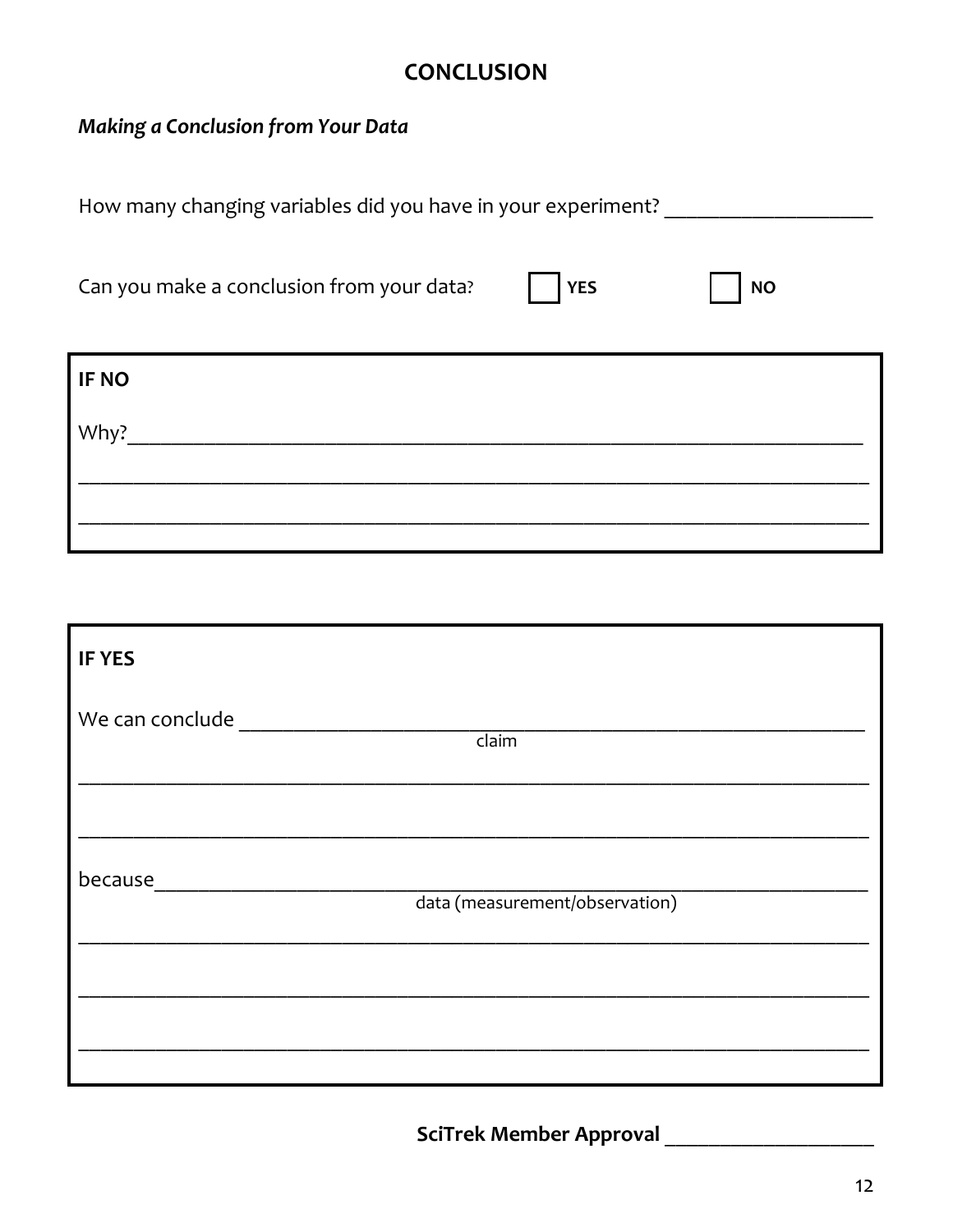## **CONCLUSION**

#### Making a Conclusion from Your Data

How many changing variables did you have in your experiment? \_\_\_\_\_\_\_\_\_\_\_\_\_\_\_\_\_\_\_

Can you make a conclusion from your data?

**NO** 

| IF NO |  |  |  |
|-------|--|--|--|
| Why?  |  |  |  |
|       |  |  |  |
|       |  |  |  |

| <b>IF YES</b>   |                                |
|-----------------|--------------------------------|
| We can conclude | $\overline{claim}$             |
|                 |                                |
| because         | data (measurement/observation) |
|                 |                                |
|                 |                                |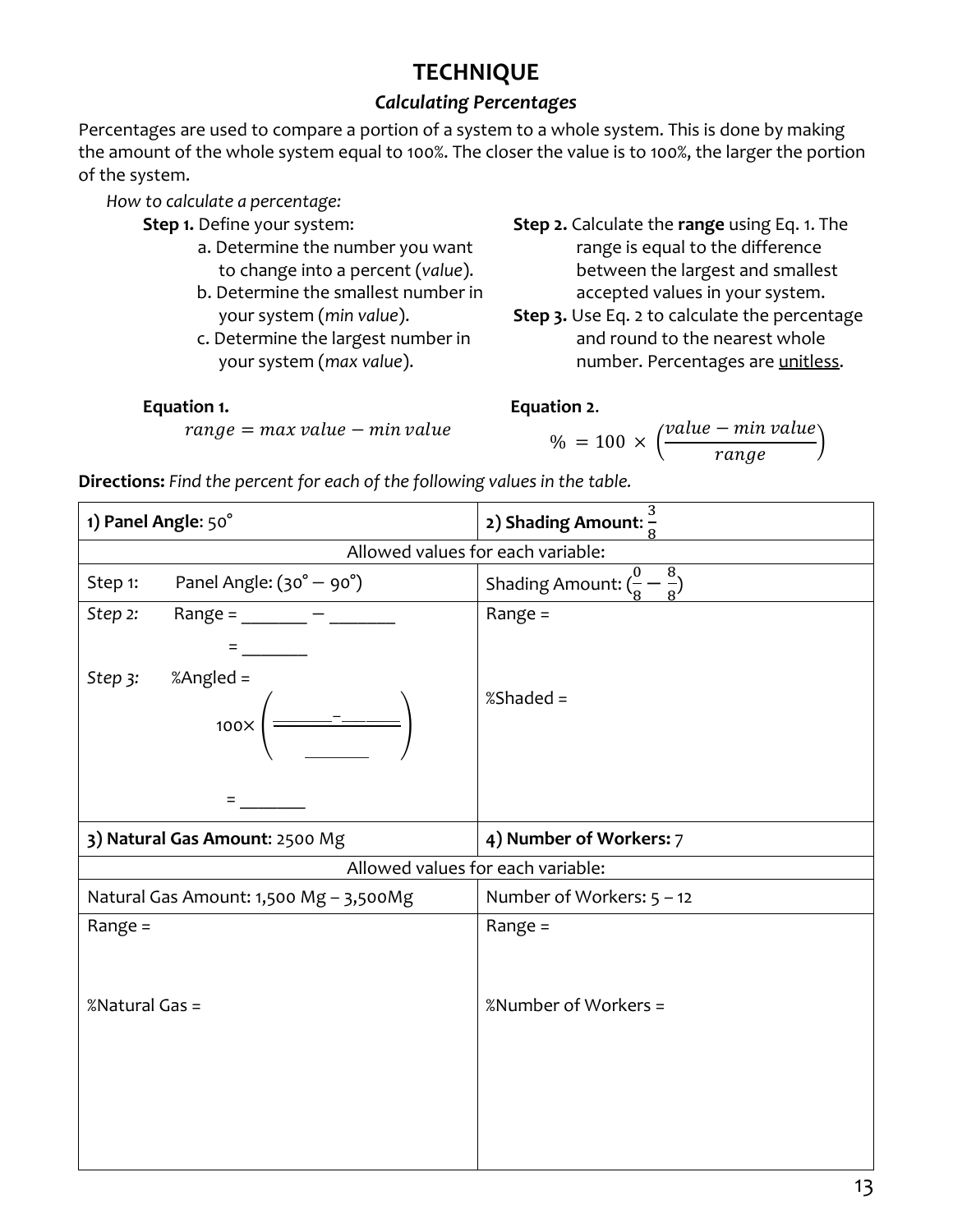# **TECHNIQUE**

#### *Calculating Percentages*

Percentages are used to compare a portion of a system to a whole system. This is done by making the amount of the whole system equal to 100%. The closer the value is to 100%, the larger the portion of the system.

*How to calculate a percentage:*

- **Step 1.** Define your system:
	- a. Determine the number you want to change into a percent (*value*).
	- b. Determine the smallest number in your system (*min value*).
	- c. Determine the largest number in your system (*max value*).
- **Step 2.** Calculate the **range** using Eq. 1. The range is equal to the difference between the largest and smallest accepted values in your system.
- **Step 3.** Use Eq. 2 to calculate the percentage and round to the nearest whole number. Percentages are unitless.

 $\frac{1}{range}$ )

#### **Equation 1.**

 $range = max value - min value$ 

#### **Equation 2**.

 $% = 100 \times ($ value – min value

**Directions:** *Find the percent for each of the following values in the table.*

| 1) Panel Angle: 50°                             | 2) Shading Amount: $\frac{8}{8}$              |  |
|-------------------------------------------------|-----------------------------------------------|--|
| Allowed values for each variable:               |                                               |  |
| Panel Angle: $(30^\circ - 90^\circ)$<br>Step 1: | Shading Amount: $(\frac{0}{2} - \frac{8}{5})$ |  |
| Step 2:<br>Range = $\_\_$ -                     | Range $=$                                     |  |
|                                                 |                                               |  |
| %Angled =<br>Step 3:<br>$100\times$             | %Shaded =                                     |  |
|                                                 |                                               |  |
| 3) Natural Gas Amount: 2500 Mg                  | 4) Number of Workers: 7                       |  |
| Allowed values for each variable:               |                                               |  |
| Natural Gas Amount: 1,500 Mg - 3,500Mg          | Number of Workers: $5 - 12$                   |  |
| Range $=$                                       | Range $=$                                     |  |
| %Natural Gas =                                  | %Number of Workers =                          |  |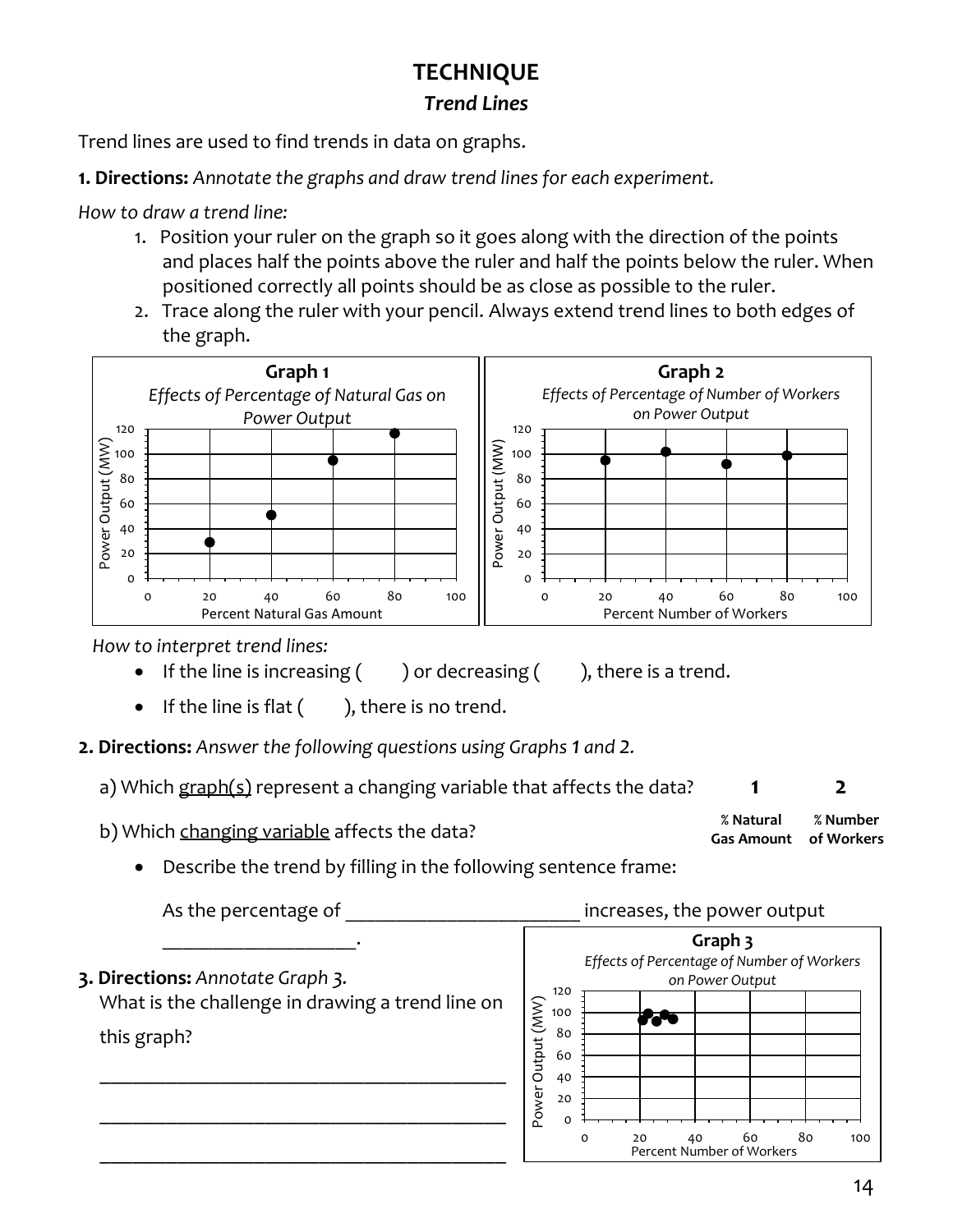## **TECHNIQUE** *Trend Lines*

Trend lines are used to find trends in data on graphs.

**1. Directions:** *Annotate the graphs and draw trend lines for each experiment.*

*How to draw a trend line:*

- 1. Position your ruler on the graph so it goes along with the direction of the points and places half the points above the ruler and half the points below the ruler. When positioned correctly all points should be as close as possible to the ruler.
- 2. Trace along the ruler with your pencil. Always extend trend lines to both edges of the graph.



*How to interpret trend lines:*

- If the line is increasing  $($  ) or decreasing  $($  ), there is a trend.
	-
- If the line is flat  $($  ), there is no trend.

**2. Directions:** *Answer the following questions using Graphs 1 and 2.*

a) Which graph(s) represent a changing variable that affects the data? **1** 2

b) Which changing variable affects the data?

**% Natural Gas Amount of Workers % Number**

• Describe the trend by filling in the following sentence frame:

As the percentage of **Exercise 2** increases, the power output \_\_\_\_\_\_\_\_\_\_\_\_\_\_\_\_\_\_\_. **Graph 3** *Effects of Percentage of Number of Workers* **3. Directions:** *Annotate Graph 3. on Power Output* 120 What is the challenge in drawing a trend line on Power Output (MW) Power Output (MW) 100 fato 80 this graph? 60 \_\_\_\_\_\_\_\_\_\_\_\_\_\_\_\_\_\_\_\_\_\_\_\_\_\_\_\_\_\_\_\_\_\_\_\_\_ 40 20 \_\_\_\_\_\_\_\_\_\_\_\_\_\_\_\_\_\_\_\_\_\_\_\_\_\_\_\_\_\_\_\_\_\_\_\_\_  $\overline{O}$ 0 20 40 60 80 100 \_\_\_\_\_\_\_\_\_\_\_\_\_\_\_\_\_\_\_\_\_\_\_\_\_\_\_\_\_\_\_\_\_\_\_\_\_ Percent Number of Workers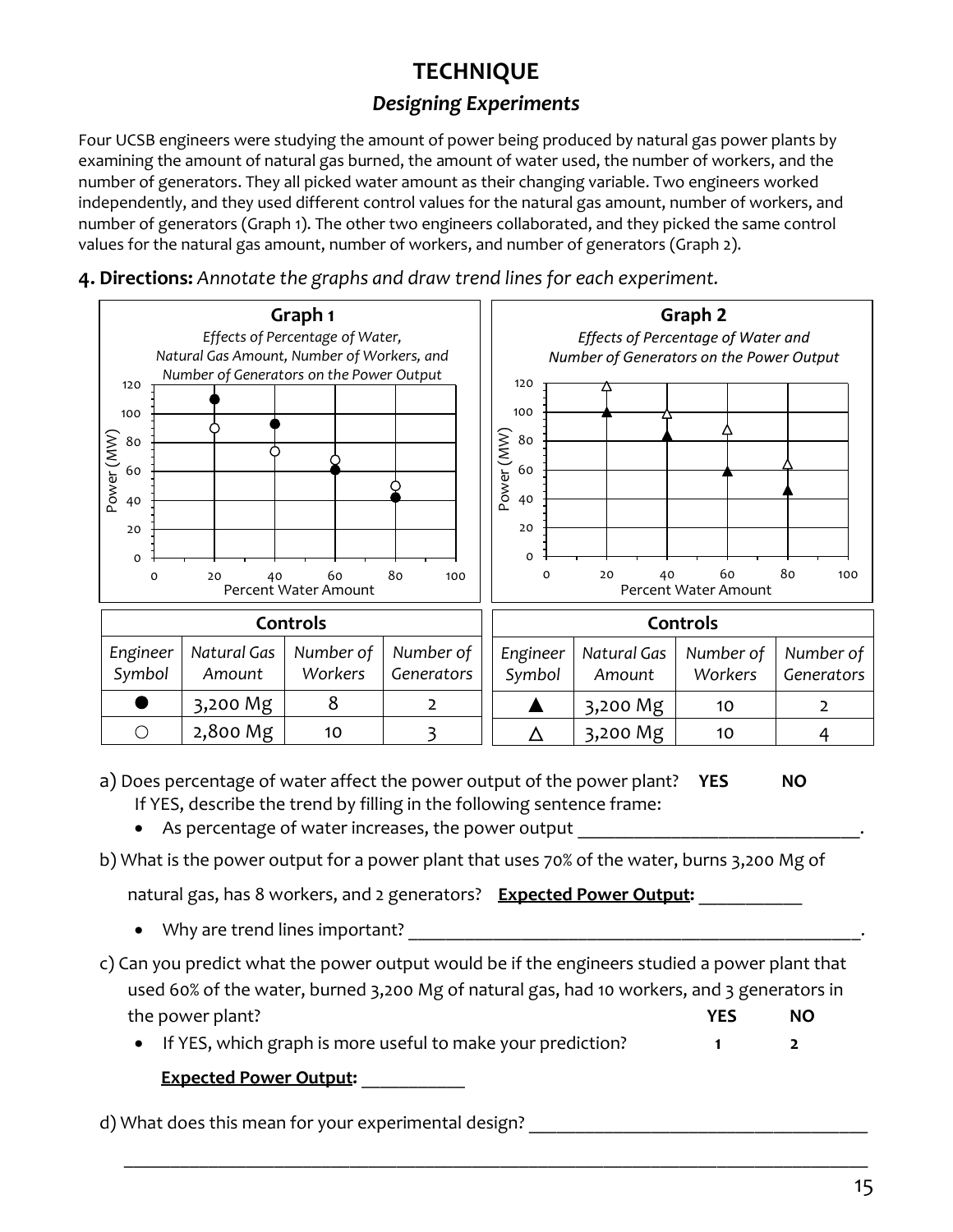# **TECHNIQUE**

### *Designing Experiments*

Four UCSB engineers were studying the amount of power being produced by natural gas power plants by examining the amount of natural gas burned, the amount of water used, the number of workers, and the number of generators. They all picked water amount as their changing variable. Two engineers worked independently, and they used different control values for the natural gas amount, number of workers, and number of generators (Graph 1). The other two engineers collaborated, and they picked the same control values for the natural gas amount, number of workers, and number of generators (Graph 2).



**4. Directions:** *Annotate the graphs and draw trend lines for each experiment.*

a) Does percentage of water affect the power output of the power plant? **YES NO** If YES, describe the trend by filling in the following sentence frame:

- As percentage of water increases, the power output
- b) What is the power output for a power plant that uses 70% of the water, burns 3,200 Mg of

natural gas, has 8 workers, and 2 generators? **Expected Power Output: Willem** 

- Why are trend lines important?
- c) Can you predict what the power output would be if the engineers studied a power plant that used 60% of the water, burned 3,200 Mg of natural gas, had 10 workers, and 3 generators in the power plant? **YES NO**
	- If YES, which graph is more useful to make your prediction? **1 2**

\_\_\_\_\_\_\_\_\_\_\_\_\_\_\_\_\_\_\_\_\_\_\_\_\_\_\_\_\_\_\_\_\_\_\_\_\_\_\_\_\_\_\_\_\_\_\_\_\_\_\_\_\_\_\_\_\_\_\_\_\_\_\_\_\_\_\_\_\_\_\_\_\_\_\_\_\_\_\_

**Expected Power Output:** \_\_\_\_\_\_\_\_\_\_\_

d) What does this mean for your experimental design?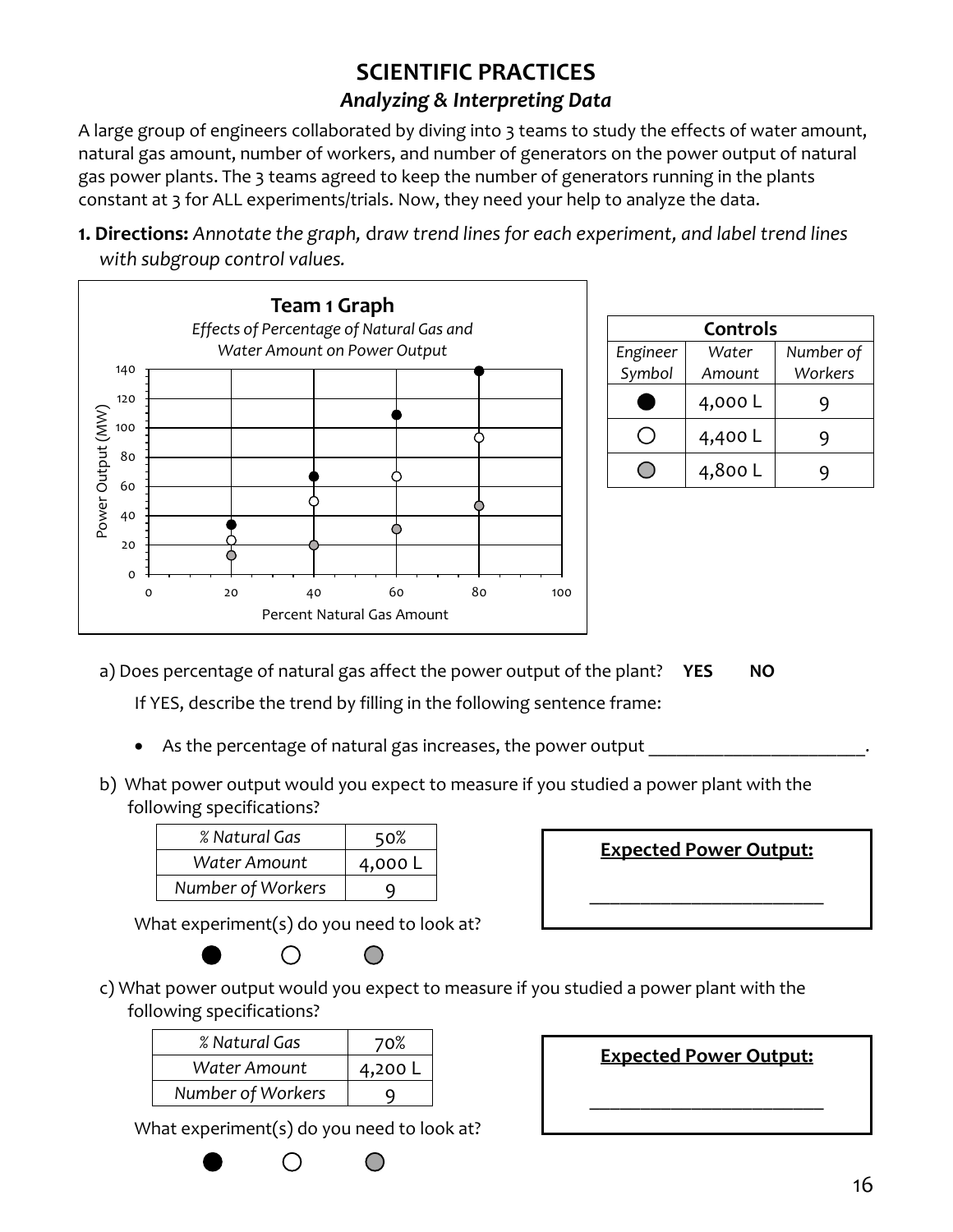# **SCIENTIFIC PRACTICES**

#### *Analyzing & Interpreting Data*

A large group of engineers collaborated by diving into 3 teams to study the effects of water amount, natural gas amount, number of workers, and number of generators on the power output of natural gas power plants. The 3 teams agreed to keep the number of generators running in the plants constant at 3 for ALL experiments/trials. Now, they need your help to analyze the data.

**1. Directions:** *Annotate the graph,* d*raw trend lines for each experiment, and label trend lines with subgroup control values.*



| Controls |        |           |  |
|----------|--------|-----------|--|
| Engineer | Water  | Number of |  |
| Symbol   | Amount | Workers   |  |
|          | 4,000L |           |  |
|          | 4,400L |           |  |
|          | 4,800L |           |  |

a) Does percentage of natural gas affect the power output of the plant? **YES NO**

If YES, describe the trend by filling in the following sentence frame:

- As the percentage of natural gas increases, the power output
- b) What power output would you expect to measure if you studied a power plant with the following specifications?

| % Natural Gas     | 50%     |
|-------------------|---------|
| Water Amount      | 4,000 L |
| Number of Workers |         |

What experiment(s) do you need to look at?





c) What power output would you expect to measure if you studied a power plant with the following specifications?

| % Natural Gas     | 70%     |
|-------------------|---------|
| Water Amount      | 4,200 L |
| Number of Workers |         |

What experiment(s) do you need to look at?

 $\bigcirc$ 



\_\_\_\_\_\_\_\_\_\_\_\_\_\_\_\_\_\_\_\_\_\_\_

**Expected Power Output:**

\_\_\_\_\_\_\_\_\_\_\_\_\_\_\_\_\_\_\_\_\_\_\_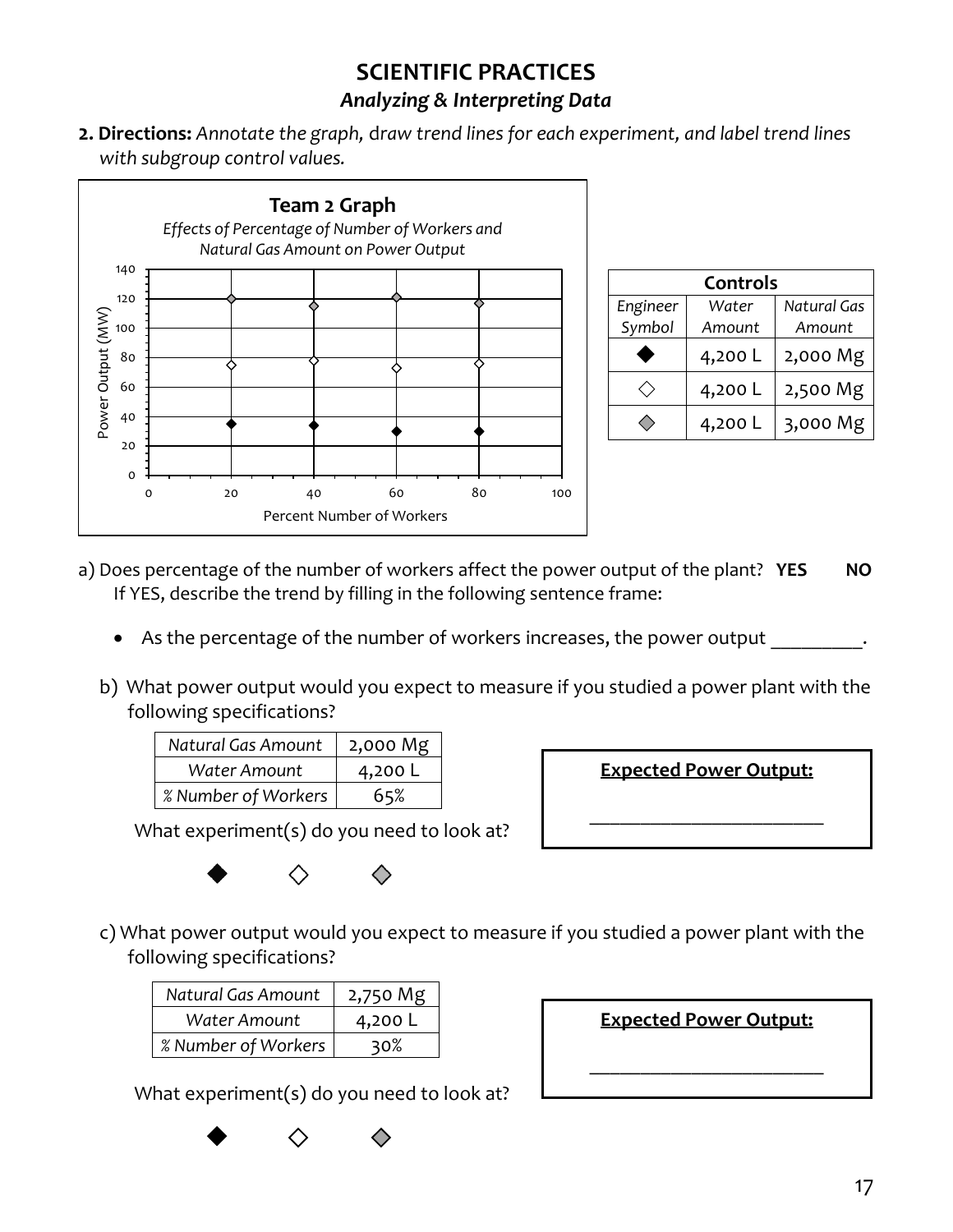# **SCIENTIFIC PRACTICES**

#### *Analyzing & Interpreting Data*

**2. Directions:** *Annotate the graph,* d*raw trend lines for each experiment, and label trend lines with subgroup control values.*



| Controls |         |             |  |
|----------|---------|-------------|--|
| Engineer | Water   | Natural Gas |  |
| Symbol   | Amount  | Amount      |  |
|          | 4,200 L | 2,000 Mg    |  |
|          | 4,200 L | 2,500 Mg    |  |
|          | 4,200 L | 3,000 Mg    |  |

- a) Does percentage of the number of workers affect the power output of the plant? **YES NO** If YES, describe the trend by filling in the following sentence frame:
	- As the percentage of the number of workers increases, the power output
	- b) What power output would you expect to measure if you studied a power plant with the following specifications?

| Natural Gas Amount  | 2,000 Mg |
|---------------------|----------|
| Water Amount        | 4,200 L  |
| % Number of Workers | 65%      |

**Expected Power Output:**

\_\_\_\_\_\_\_\_\_\_\_\_\_\_\_\_\_\_\_\_\_\_\_

What experiment(s) do you need to look at?



c) What power output would you expect to measure if you studied a power plant with the following specifications?

| Natural Gas Amount  | 2,750 Mg |
|---------------------|----------|
| Water Amount        | 4,200 L  |
| % Number of Workers | 30%      |

| <b>Expected Power Output:</b> |  |
|-------------------------------|--|
|                               |  |

What experiment(s) do you need to look at?

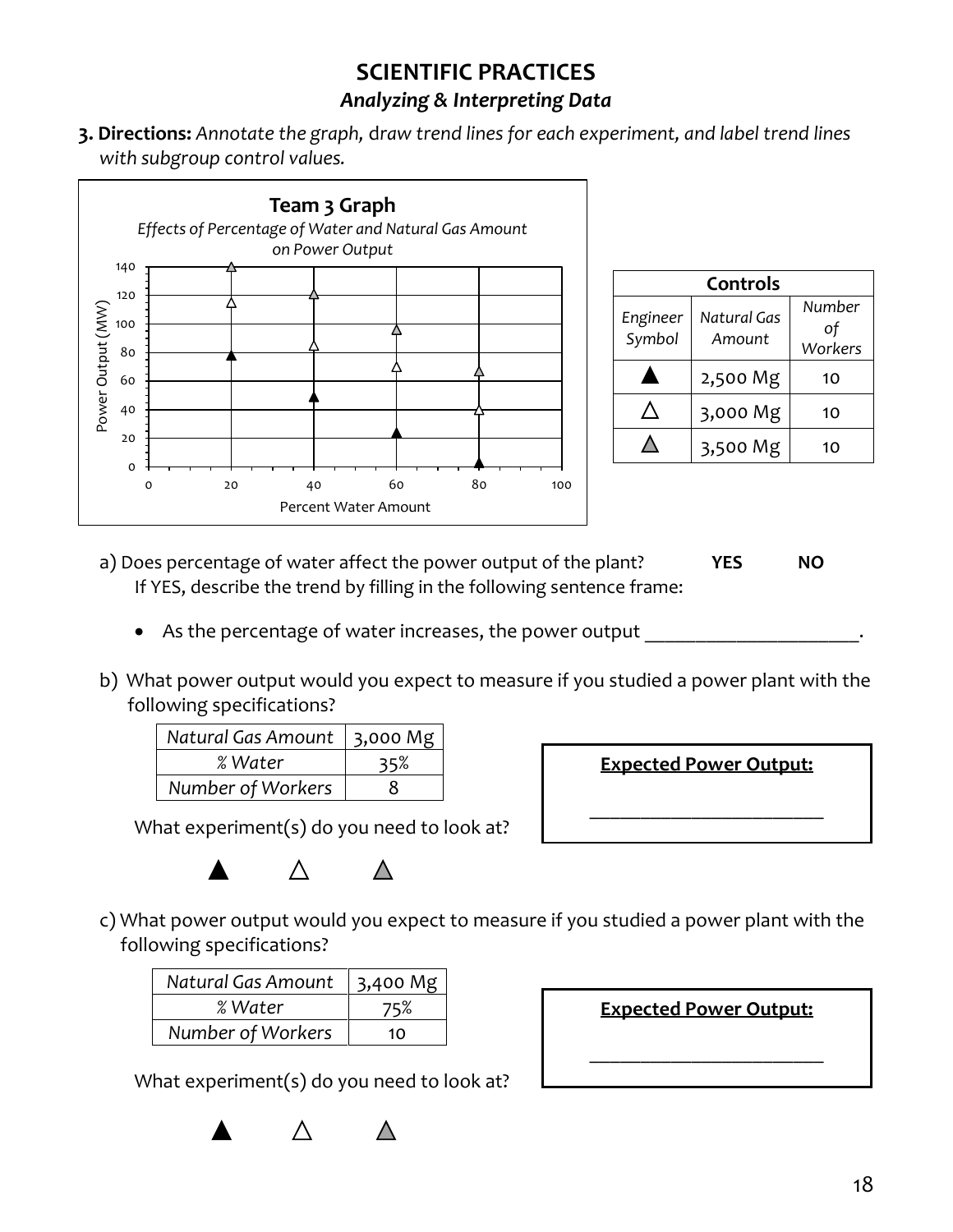## **SCIENTIFIC PRACTICES**

#### *Analyzing & Interpreting Data*

**3. Directions:** *Annotate the graph,* d*raw trend lines for each experiment, and label trend lines with subgroup control values.*



| Controls           |                       |                         |  |
|--------------------|-----------------------|-------------------------|--|
| Engineer<br>Symbol | Natural Gas<br>Amount | Number<br>οf<br>Workers |  |
|                    | 2,500 Mg              | 10                      |  |
|                    | 3,000 Mg              | 10                      |  |
|                    | 3,500 Mg              | 10                      |  |

- a) Does percentage of water affect the power output of the plant? **YES NO** If YES, describe the trend by filling in the following sentence frame:
	- As the percentage of water increases, the power output
- b) What power output would you expect to measure if you studied a power plant with the following specifications?

| Natural Gas Amount | $ 3,000$ Mg |
|--------------------|-------------|
| % Water            | 35%         |
| Number of Workers  | x           |

**Expected Power Output:**

\_\_\_\_\_\_\_\_\_\_\_\_\_\_\_\_\_\_\_\_\_\_\_

What experiment(s) do you need to look at?



c) What power output would you expect to measure if you studied a power plant with the following specifications?

| Natural Gas Amount | 3,400 Mg |
|--------------------|----------|
| % Water            | 75%      |
| Number of Workers  | 10       |

| <b>Expected Power Output:</b> |
|-------------------------------|
|                               |
|                               |
|                               |

What experiment(s) do you need to look at?

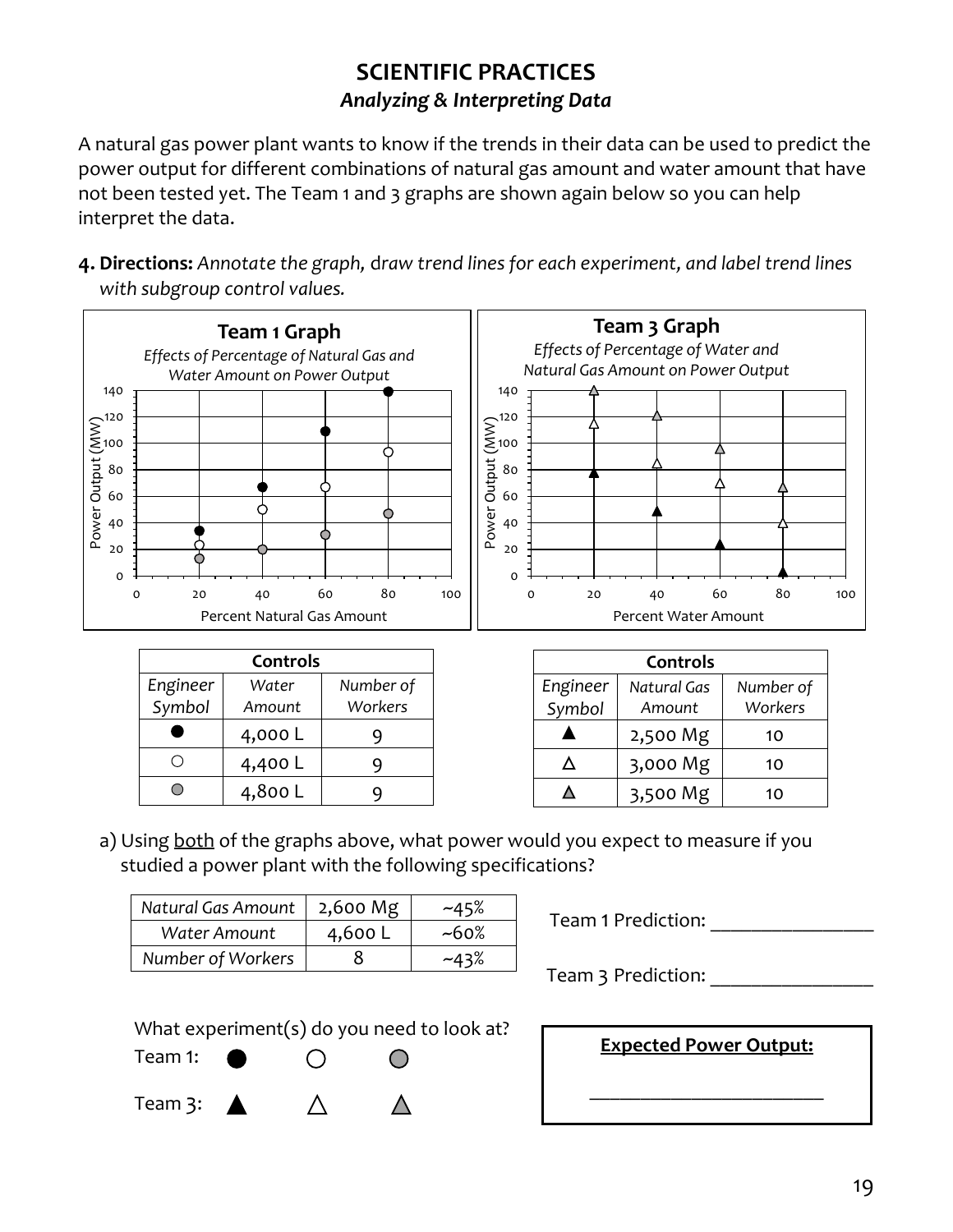A natural gas power plant wants to know if the trends in their data can be used to predict the power output for different combinations of natural gas amount and water amount that have not been tested yet. The Team 1 and 3 graphs are shown again below so you can help interpret the data.

**4. Directions:** *Annotate the graph,* d*raw trend lines for each experiment, and label trend lines with subgroup control values.*



| Controls           |                 |                      |  |
|--------------------|-----------------|----------------------|--|
| Engineer<br>Symbol | Water<br>Amount | Number of<br>Workers |  |
|                    | 4,000L          |                      |  |
|                    | 4,400L          |                      |  |
|                    | 4,800 L         |                      |  |

| Controls           |                       |                      |  |
|--------------------|-----------------------|----------------------|--|
| Engineer<br>Symbol | Natural Gas<br>Amount | Number of<br>Workers |  |
|                    | 2,500 Mg              | 10                   |  |
| Λ                  | 3,000 Mg              | 10                   |  |
|                    | 3,500 Mg              | 10                   |  |

a) Using both of the graphs above, what power would you expect to measure if you studied a power plant with the following specifications?

| Natural Gas Amount | 2,600 Mg | $-45%$   |
|--------------------|----------|----------|
| Water Amount       | 4,600 L  | $~100\%$ |
| Number of Workers  |          | $-43%$   |

Team 1 Prediction: \_\_\_\_\_\_\_\_\_\_\_\_\_\_\_\_

Team 3 Prediction:



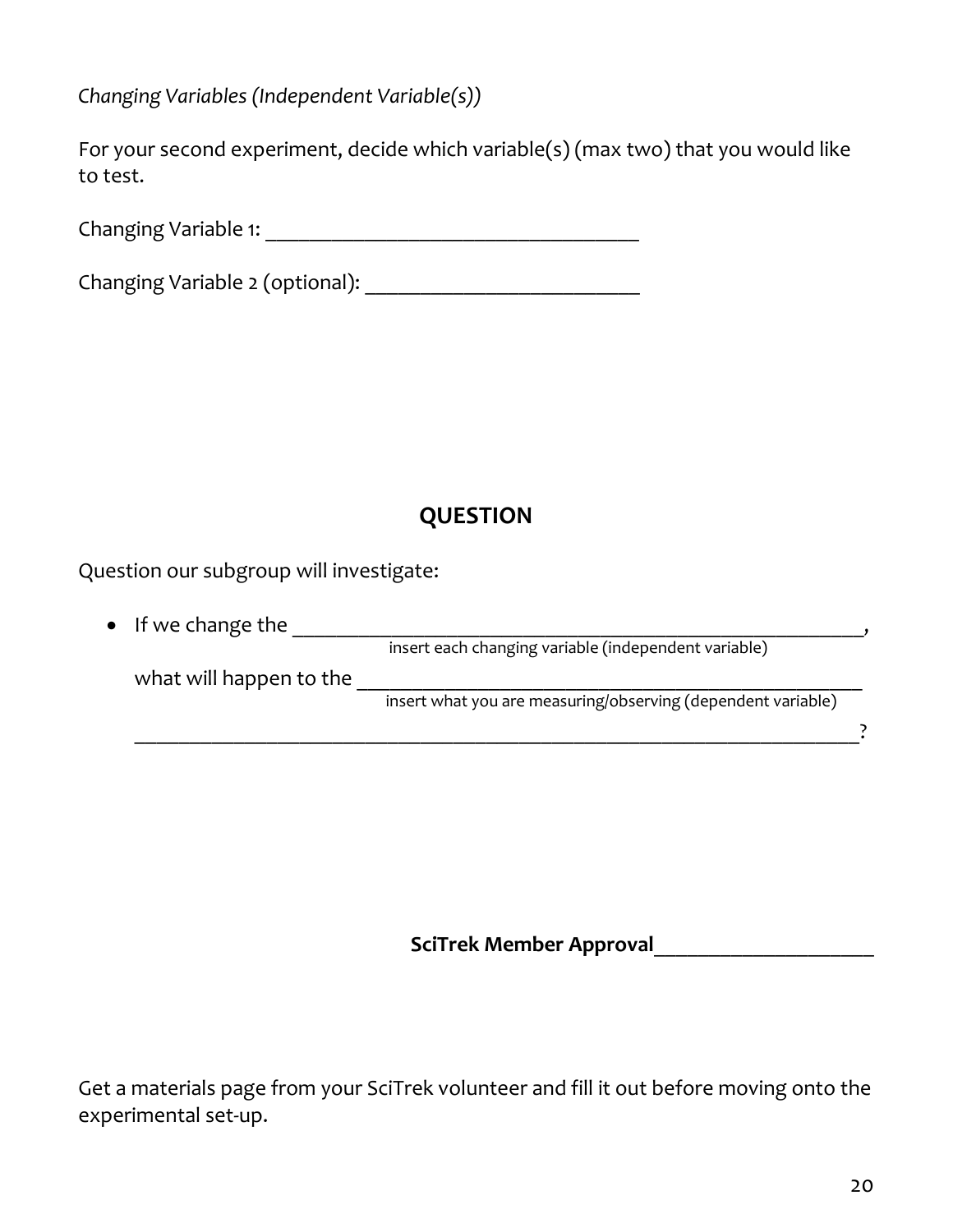*Changing Variables (Independent Variable(s))*

For your second experiment, decide which variable(s) (max two) that you would like to test.

Changing Variable 1: \_\_\_\_\_\_\_\_\_\_\_\_\_\_\_\_\_\_\_\_\_\_\_\_\_\_\_\_\_\_\_\_\_\_

Changing Variable 2 (optional):

# **QUESTION**

Question our subgroup will investigate:

| $\bullet$ If we change the |                                                              |  |
|----------------------------|--------------------------------------------------------------|--|
|                            | insert each changing variable (independent variable)         |  |
| what will happen to the    |                                                              |  |
|                            | insert what you are measuring/observing (dependent variable) |  |
|                            |                                                              |  |

**SciTrek Member Approval**\_\_\_\_\_\_\_\_\_\_\_\_\_\_\_\_\_\_\_\_

Get a materials page from your SciTrek volunteer and fill it out before moving onto the experimental set-up.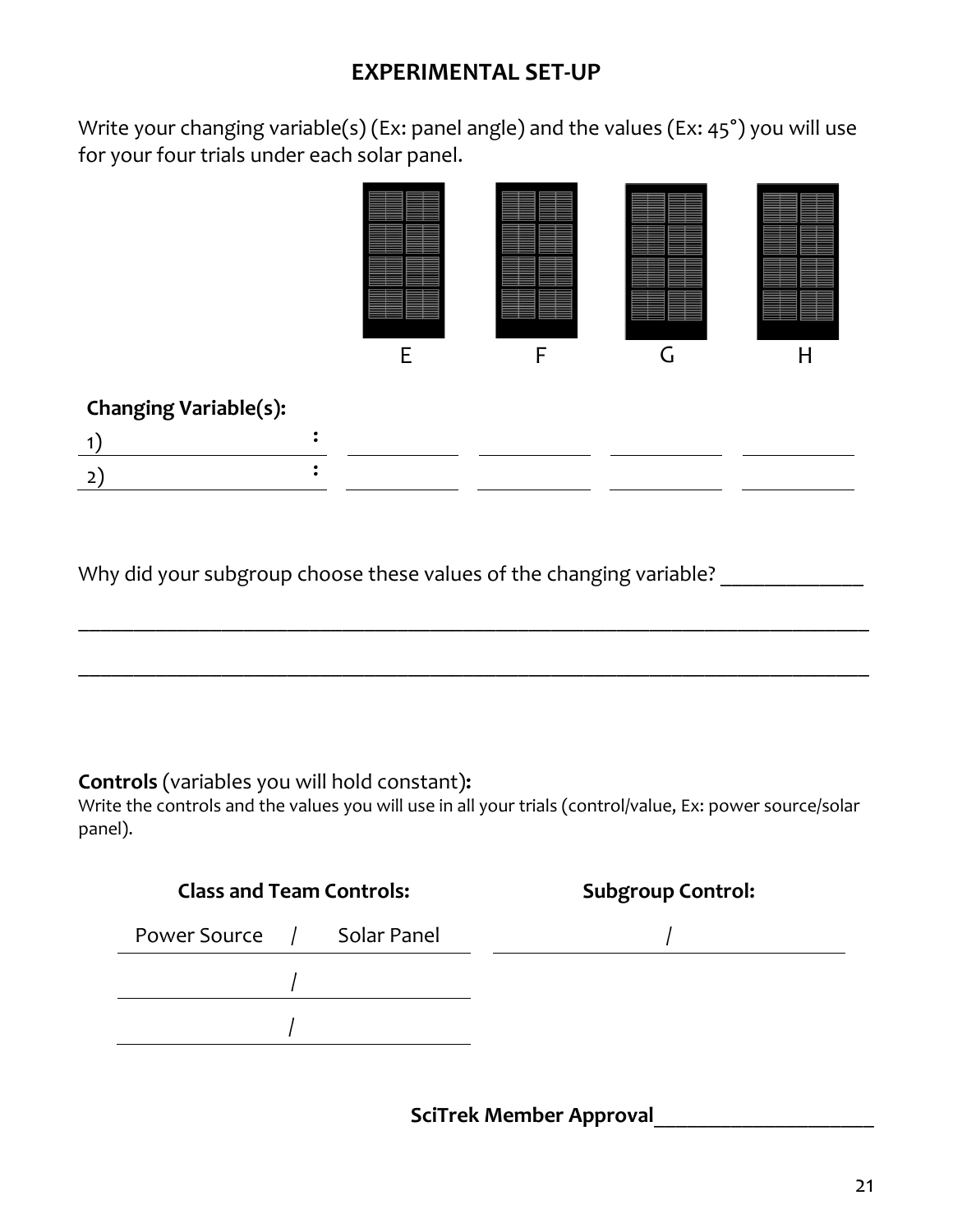## **EXPERIMENTAL SET-UP**

Write your changing variable(s) (Ex: panel angle) and the values (Ex: 45°) you will use for your four trials under each solar panel.



#### **Changing Variable(s):**

\_\_\_\_\_\_\_\_\_\_\_\_\_\_\_\_\_\_\_\_\_\_\_\_\_\_\_\_\_\_\_\_\_\_\_\_\_\_\_\_\_\_\_\_\_\_\_\_\_\_\_\_\_\_\_\_\_\_\_\_\_\_\_\_\_\_\_\_\_\_\_\_

\_\_\_\_\_\_\_\_\_\_\_\_\_\_\_\_\_\_\_\_\_\_\_\_\_\_\_\_\_\_\_\_\_\_\_\_\_\_\_\_\_\_\_\_\_\_\_\_\_\_\_\_\_\_\_\_\_\_\_\_\_\_\_\_\_\_\_\_\_\_\_\_

Why did your subgroup choose these values of the changing variable?

#### **Controls** (variables you will hold constant)**:**

Write the controls and the values you will use in all your trials (control/value, Ex: power source/solar panel).

| <b>Class and Team Controls:</b> | <b>Subgroup Control:</b> |
|---------------------------------|--------------------------|
| Power Source / Solar Panel      |                          |
|                                 |                          |
|                                 |                          |

**SciTrek Member Approval**\_\_\_\_\_\_\_\_\_\_\_\_\_\_\_\_\_\_\_\_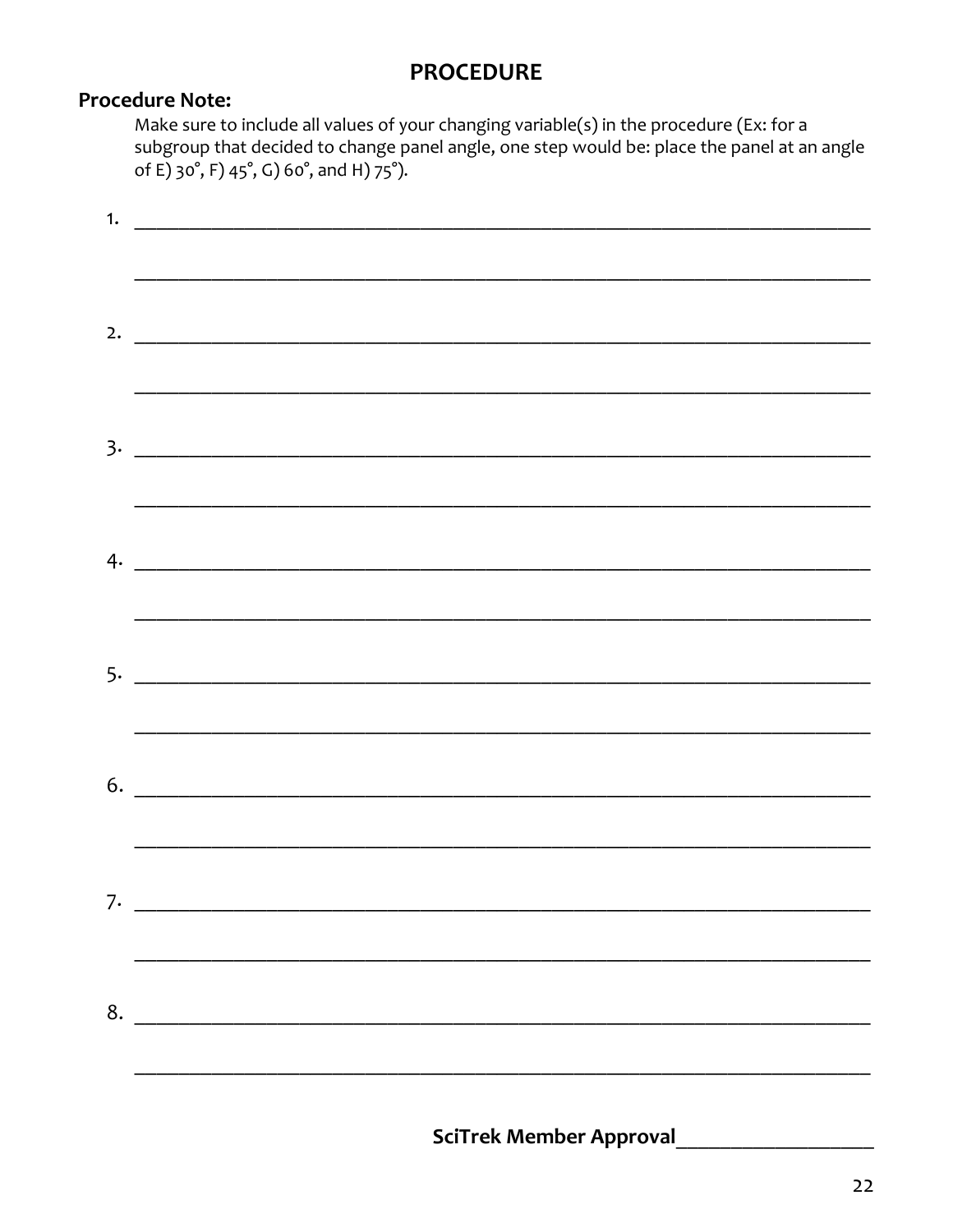#### **PROCEDURE**

#### **Procedure Note:**

Make sure to include all values of your changing variable(s) in the procedure (Ex: for a subgroup that decided to change panel angle, one step would be: place the panel at an angle of E) 30°, F) 45°, G) 60°, and H) 75°).

| $\overline{\phantom{a}}$ |
|--------------------------|
|                          |
|                          |
|                          |
|                          |
|                          |
|                          |
|                          |
|                          |
|                          |
|                          |
|                          |
|                          |
|                          |
| 8.                       |
|                          |
|                          |

**SciTrek Member Approval**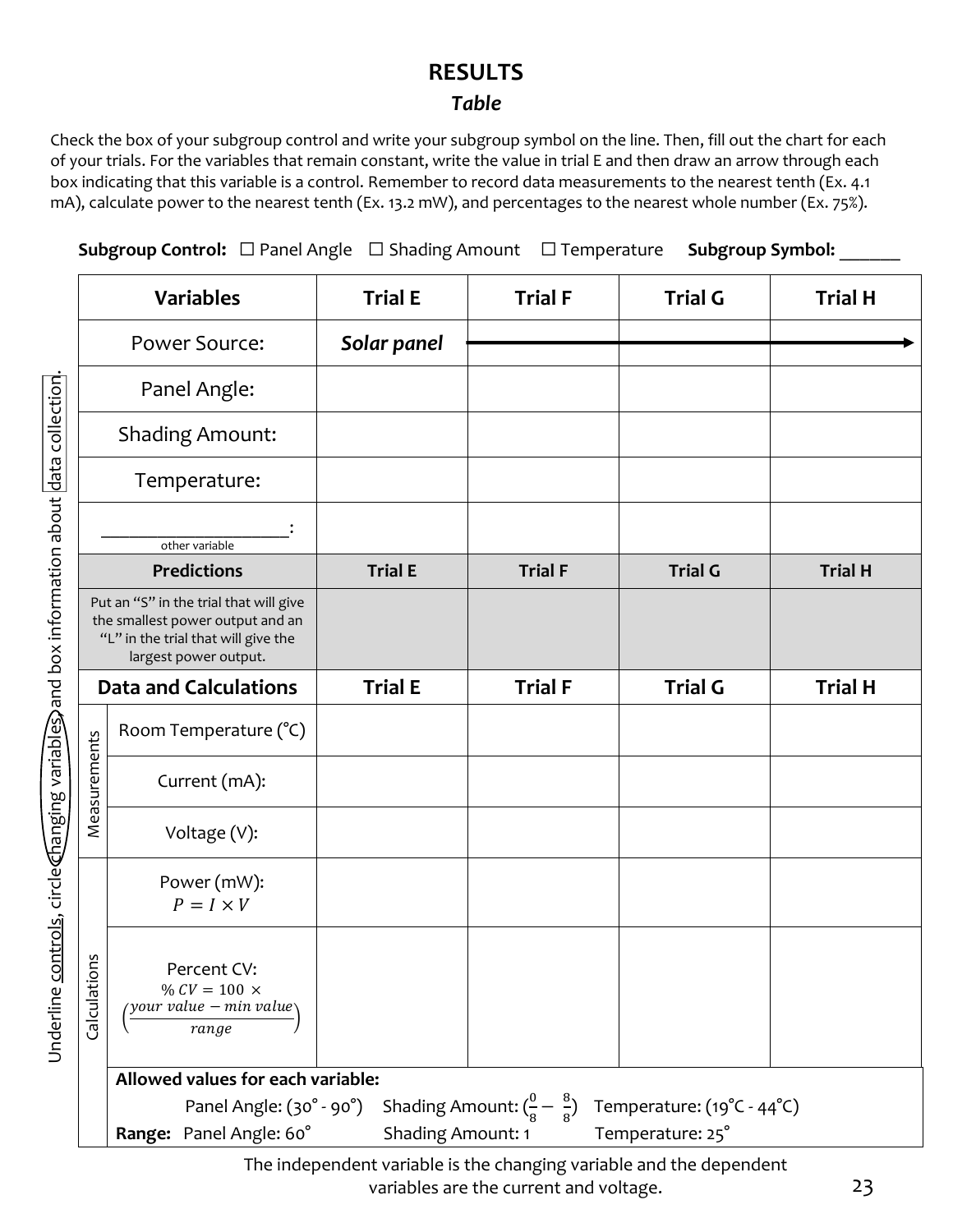### **RESULTS**

#### *Table*

Check the box of your subgroup control and write your subgroup symbol on the line. Then, fill out the chart for each of your trials. For the variables that remain constant, write the value in trial E and then draw an arrow through each box indicating that this variable is a control. Remember to record data measurements to the nearest tenth (Ex. 4.1 mA), calculate power to the nearest tenth (Ex. 13.2 mW), and percentages to the nearest whole number (Ex. 75%).

**Subgroup Control:** ☐ Panel Angle ☐ Shading Amount ☐ Temperature **Subgroup Symbol:** \_\_\_\_\_\_

|                  | <b>Variables</b>                                                                                                                           | <b>Trial E</b>    | <b>Trial F</b>                                | <b>Trial G</b>             | <b>Trial H</b> |
|------------------|--------------------------------------------------------------------------------------------------------------------------------------------|-------------------|-----------------------------------------------|----------------------------|----------------|
|                  | <b>Power Source:</b>                                                                                                                       | Solar panel       |                                               |                            |                |
|                  | Panel Angle:                                                                                                                               |                   |                                               |                            |                |
|                  | <b>Shading Amount:</b>                                                                                                                     |                   |                                               |                            |                |
|                  | Temperature:                                                                                                                               |                   |                                               |                            |                |
|                  | other variable                                                                                                                             |                   |                                               |                            |                |
|                  | <b>Predictions</b>                                                                                                                         | <b>Trial E</b>    | <b>Trial F</b>                                | <b>Trial G</b>             | <b>Trial H</b> |
|                  | Put an "S" in the trial that will give<br>the smallest power output and an<br>"L" in the trial that will give the<br>largest power output. |                   |                                               |                            |                |
|                  | <b>Data and Calculations</b>                                                                                                               | <b>Trial E</b>    | <b>Trial F</b>                                | <b>Trial G</b>             | <b>Trial H</b> |
|                  | Room Temperature (°C)                                                                                                                      |                   |                                               |                            |                |
| Measurements     | Current (mA):                                                                                                                              |                   |                                               |                            |                |
|                  | Voltage (V):                                                                                                                               |                   |                                               |                            |                |
|                  | Power (mW):<br>$P = I \times V$                                                                                                            |                   |                                               |                            |                |
| Suc<br>Calculati | Percent CV:<br>% $CV = 100 \times$<br>your value – min value<br>range                                                                      |                   |                                               |                            |                |
|                  | Allowed values for each variable:                                                                                                          |                   |                                               |                            |                |
|                  | Panel Angle: (30° - 90°)                                                                                                                   |                   | Shading Amount: $(\frac{0}{8} - \frac{8}{8})$ | Temperature: (19°C - 44°C) |                |
|                  | Range: Panel Angle: 60°                                                                                                                    | Shading Amount: 1 |                                               | Temperature: 25°           |                |

The independent variable is the changing variable and the dependent variables are the current and voltage.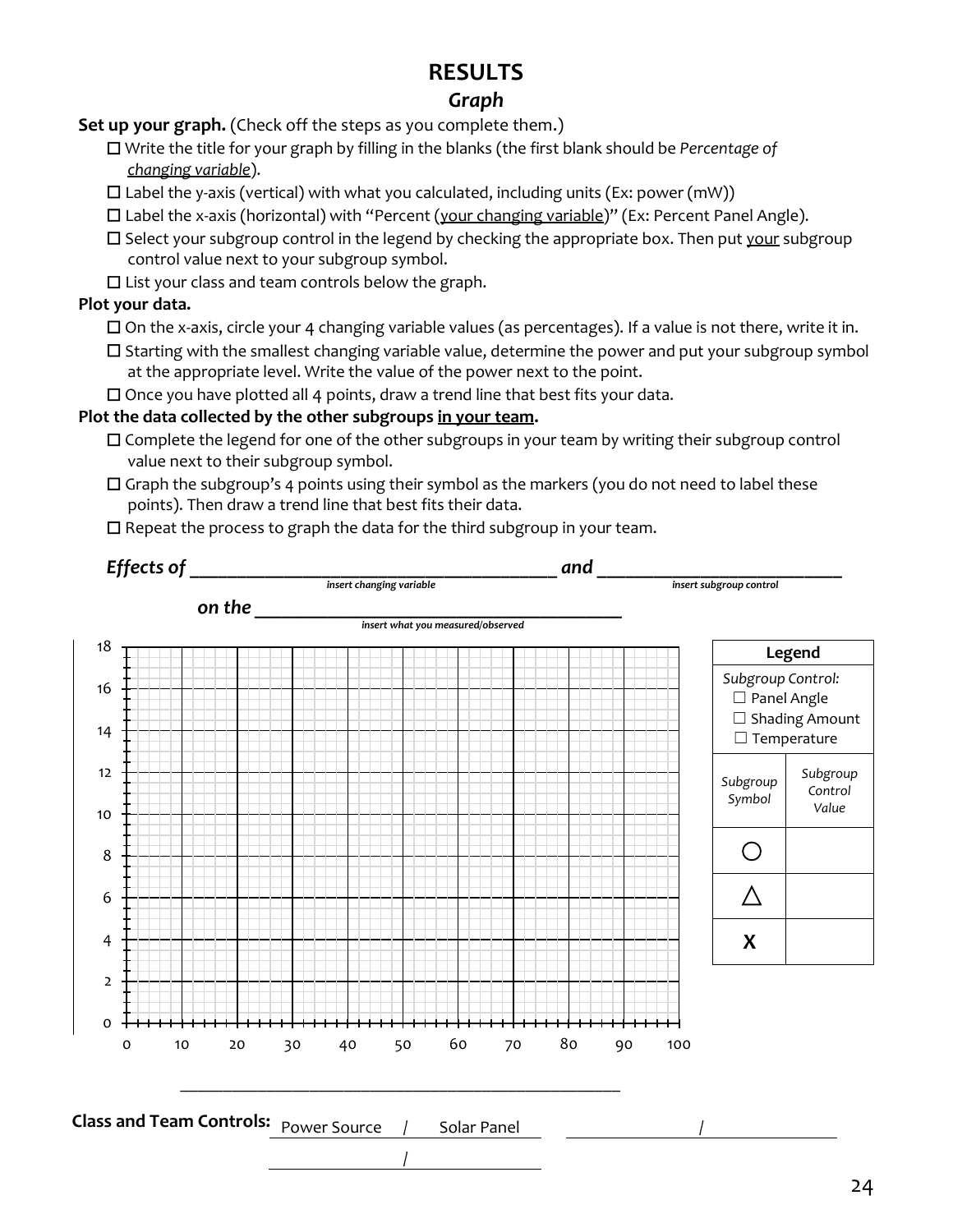# **RESULTS**

#### *Graph*

**Set up your graph.** (Check off the steps as you complete them.)

☐ Write the title for your graph by filling in the blanks (the first blank should be *Percentage of changing variable*).

 $\Box$  Label the y-axis (vertical) with what you calculated, including units (Ex: power (mW))

☐ Label the x-axis (horizontal) with "Percent (your changing variable)" (Ex: Percent Panel Angle).

 $\Box$  Select your subgroup control in the legend by checking the appropriate box. Then put your subgroup control value next to your subgroup symbol.

☐ List your class and team controls below the graph.

#### **Plot your data.**

☐ On the x-axis, circle your 4 changing variable values (as percentages). If a value is not there, write it in.

☐ Starting with the smallest changing variable value, determine the power and put your subgroup symbol at the appropriate level. Write the value of the power next to the point.

☐ Once you have plotted all 4 points, draw a trend line that best fits your data.

#### **Plot the data collected by the other subgroups in your team.**

- $\Box$  Complete the legend for one of the other subgroups in your team by writing their subgroup control value next to their subgroup symbol.
- $\Box$  Graph the subgroup's 4 points using their symbol as the markers (you do not need to label these points). Then draw a trend line that best fits their data.

☐ Repeat the process to graph the data for the third subgroup in your team.

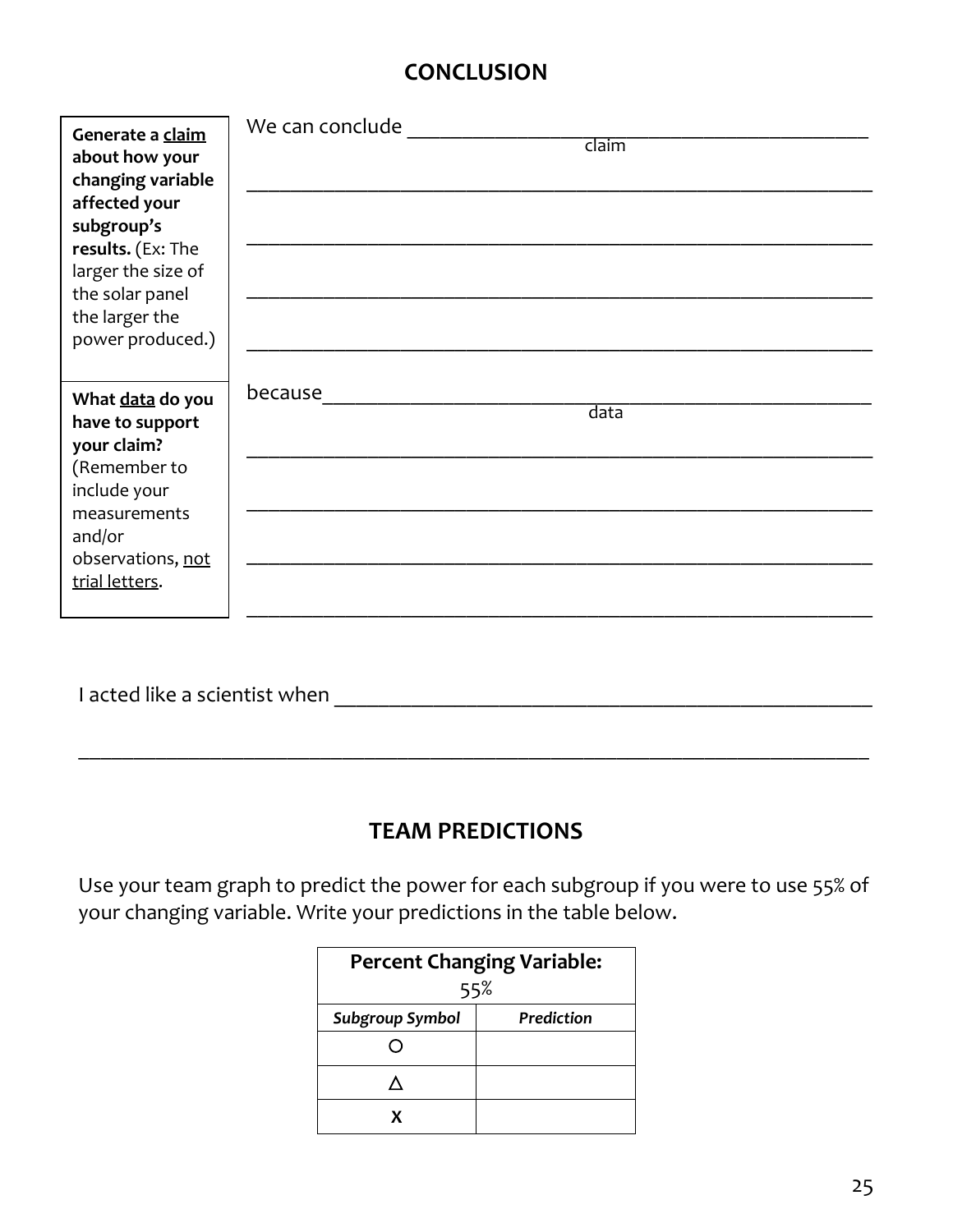# **CONCLUSION**

| Generate a claim<br>about how your<br>changing variable<br>affected your<br>subgroup's<br>results. (Ex: The<br>larger the size of<br>the solar panel<br>the larger the<br>power produced.) | We can conclude<br>claim |
|--------------------------------------------------------------------------------------------------------------------------------------------------------------------------------------------|--------------------------|
| What data do you<br>have to support<br>your claim?<br>(Remember to<br>include your<br>measurements<br>and/or<br>observations, not<br>trial letters.                                        | because<br>data          |

I acted like a scientist when \_\_\_\_\_\_\_\_\_\_\_\_\_\_\_\_\_\_\_\_\_\_\_\_\_\_\_\_\_\_\_\_\_\_\_\_\_\_\_\_\_\_\_\_\_\_\_\_\_

# **TEAM PREDICTIONS**

\_\_\_\_\_\_\_\_\_\_\_\_\_\_\_\_\_\_\_\_\_\_\_\_\_\_\_\_\_\_\_\_\_\_\_\_\_\_\_\_\_\_\_\_\_\_\_\_\_\_\_\_\_\_\_\_\_\_\_\_\_\_\_\_\_\_\_\_\_\_\_\_

Use your team graph to predict the power for each subgroup if you were to use 55% of your changing variable. Write your predictions in the table below.

| <b>Percent Changing Variable:</b><br>55% |            |  |  |  |
|------------------------------------------|------------|--|--|--|
| <b>Subgroup Symbol</b>                   | Prediction |  |  |  |
|                                          |            |  |  |  |
|                                          |            |  |  |  |
|                                          |            |  |  |  |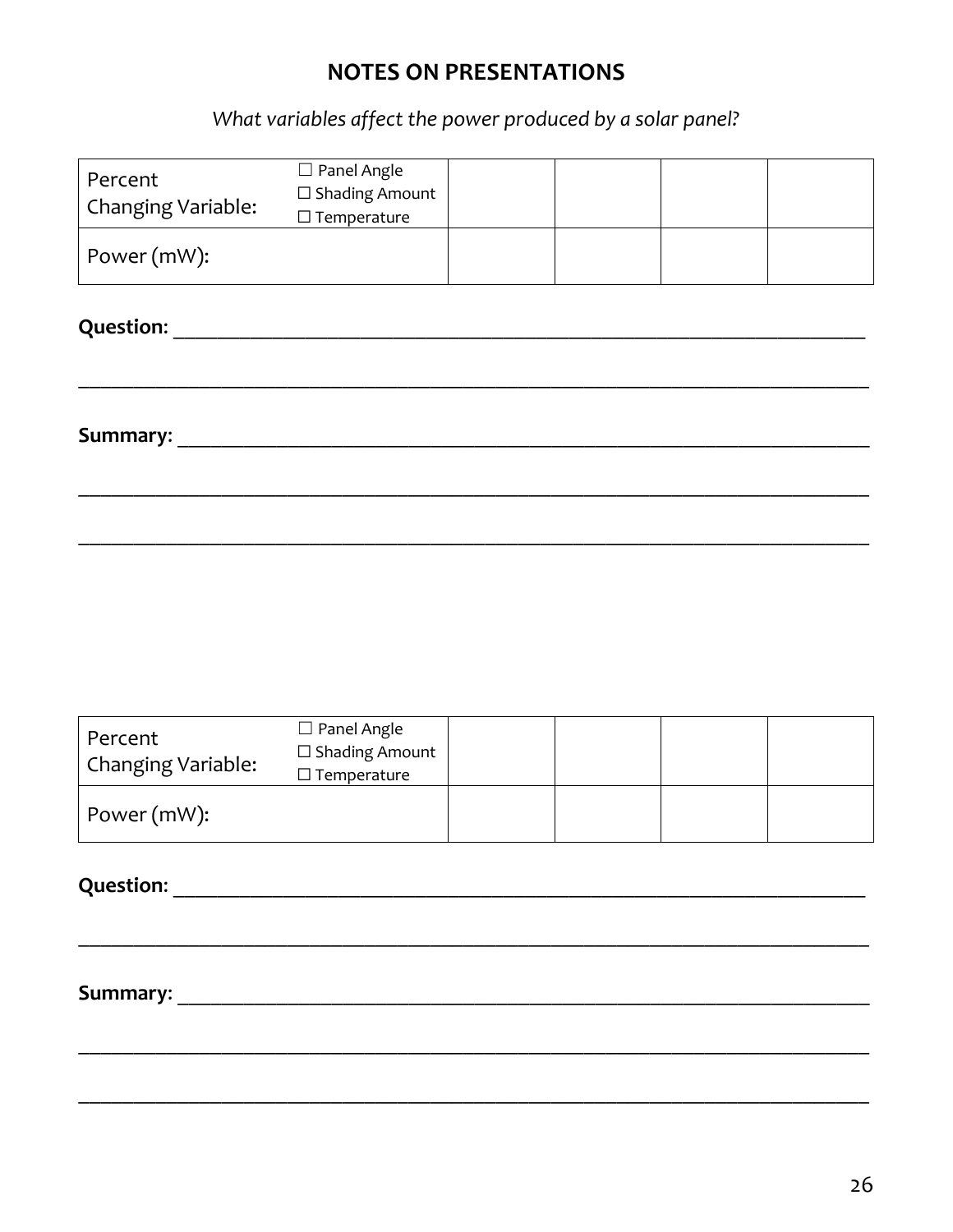### **NOTES ON PRESENTATIONS**

What variables affect the power produced by a solar panel?

| Percent<br>Changing Variable: | $\Box$ Panel Angle<br>$\square$ Shading Amount<br>$\square$ Temperature |  |  |  |  |  |
|-------------------------------|-------------------------------------------------------------------------|--|--|--|--|--|
| Power (mW):                   |                                                                         |  |  |  |  |  |
| <b>Question:</b>              |                                                                         |  |  |  |  |  |
| Summary:                      |                                                                         |  |  |  |  |  |
|                               |                                                                         |  |  |  |  |  |
|                               |                                                                         |  |  |  |  |  |

| Percent<br><b>Changing Variable:</b> | $\Box$ Panel Angle<br>$\square$ Shading Amount<br>$\square$ Temperature |  |  |
|--------------------------------------|-------------------------------------------------------------------------|--|--|
| Power (mW):                          |                                                                         |  |  |

**Summary:** Summary: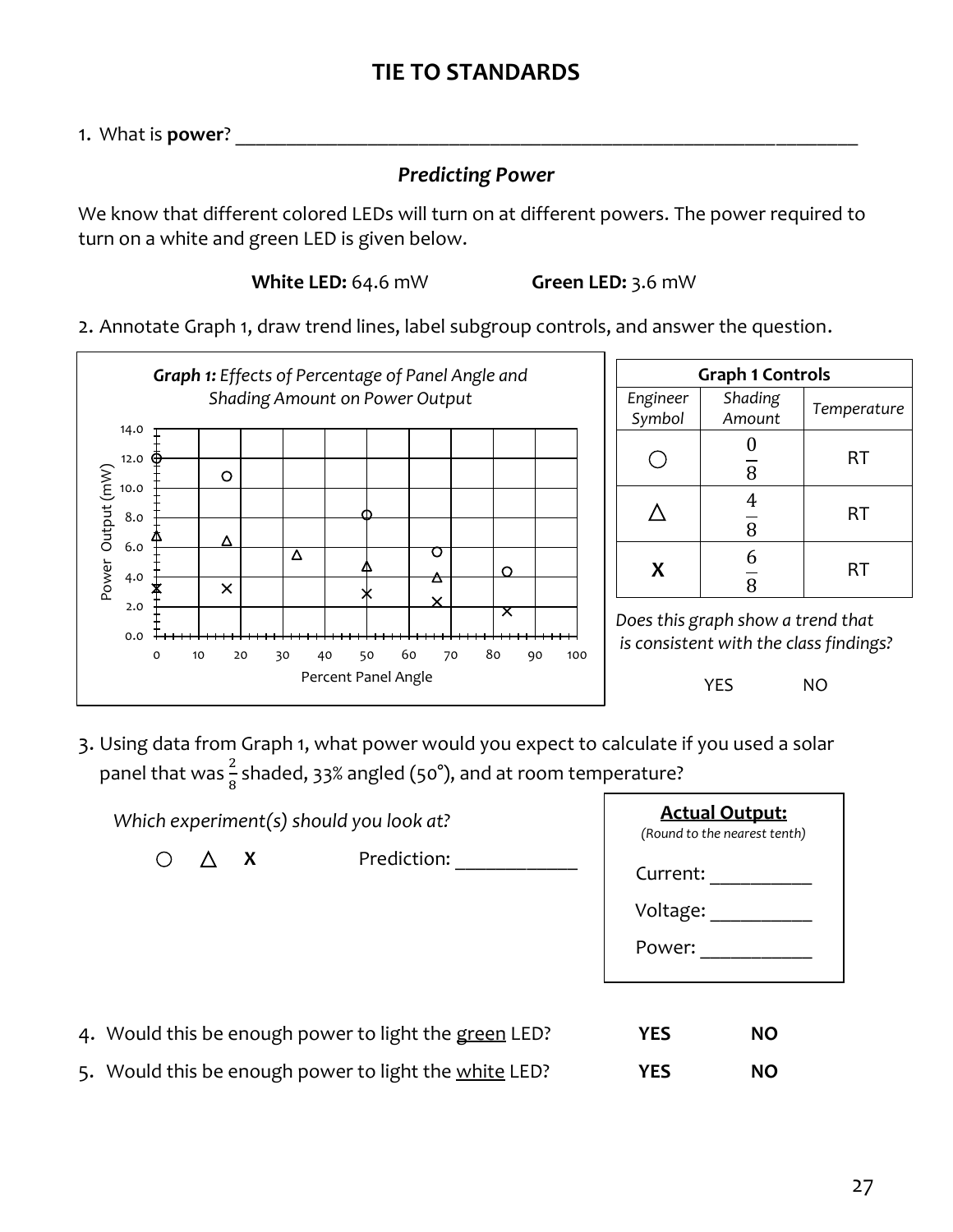## **TIE TO STANDARDS**

1. What is **power**?

#### *Predicting Power*

We know that different colored LEDs will turn on at different powers. The power required to turn on a white and green LED is given below.

**White LED:** 64.6 mW **Green LED:** 3.6 mW

2. Annotate Graph 1, draw trend lines, label subgroup controls, and answer the question.



3. Using data from Graph 1, what power would you expect to calculate if you used a solar panel that was  $\frac{2}{8}$  shaded, 33% angled (50°), and at room temperature?

| Which experiment(s) should you look at? |    |                                                       | <b>Actual Output:</b><br>(Round to the nearest tenth) |           |
|-----------------------------------------|----|-------------------------------------------------------|-------------------------------------------------------|-----------|
|                                         | X, | Prediction:                                           | Current:<br>Voltage:<br>Power:                        |           |
|                                         |    | 4. Would this be enough power to light the green LED? | <b>YES</b>                                            | <b>NO</b> |
|                                         |    | 5. Would this be enough power to light the white LED? | <b>YES</b>                                            | <b>NO</b> |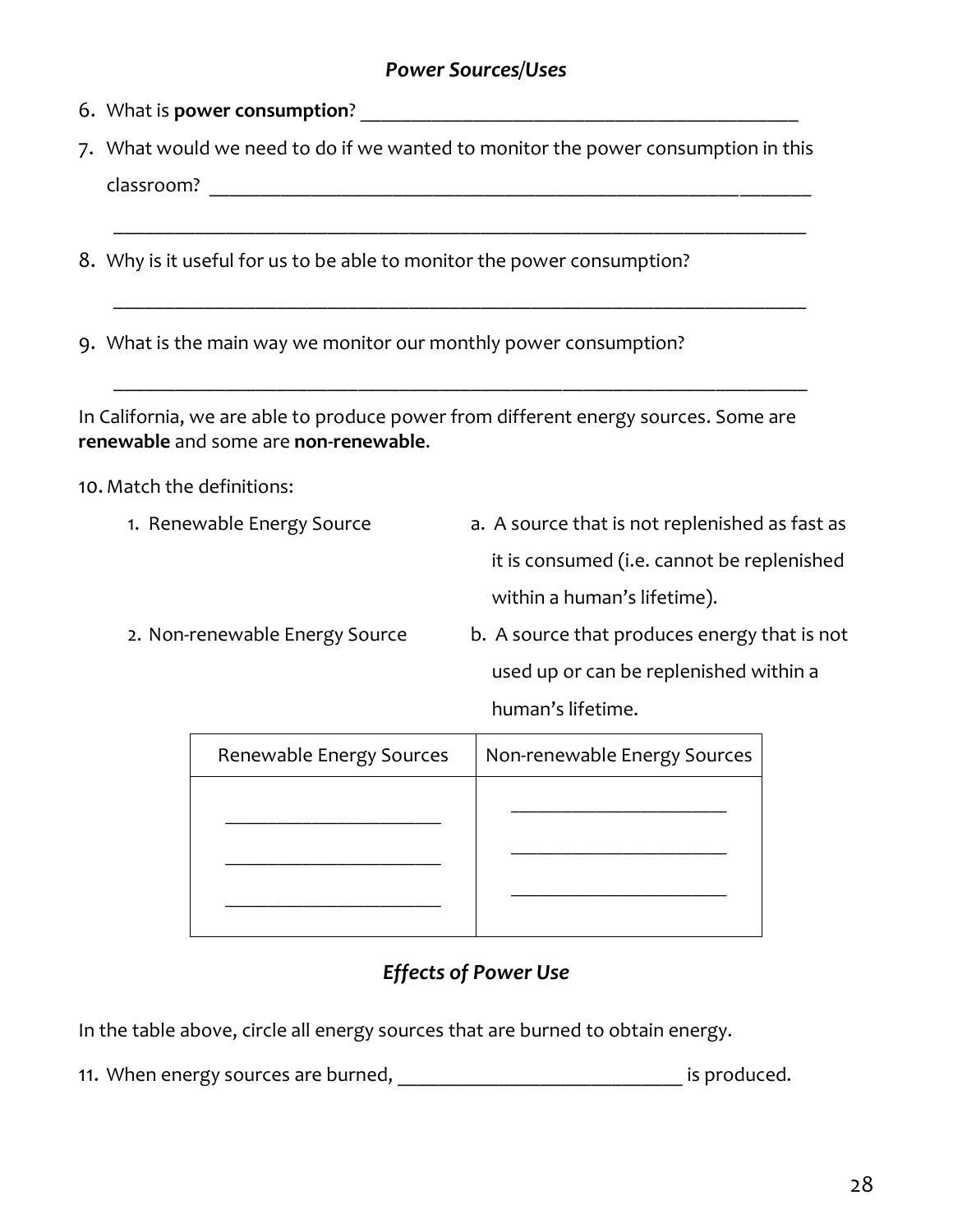#### *Power Sources/Uses*

- 6. What is **power consumption**? \_\_\_\_\_\_\_\_\_\_\_\_\_\_\_\_\_\_\_\_\_\_\_\_\_\_\_\_\_\_\_\_\_\_\_\_\_\_\_\_\_\_\_
- 7. What would we need to do if we wanted to monitor the power consumption in this classroom? \_\_\_\_\_\_\_\_\_\_\_\_\_\_\_\_\_\_\_\_\_\_\_\_\_\_\_\_\_\_\_\_\_\_\_\_\_\_\_\_\_\_\_\_\_\_\_\_\_\_\_\_\_\_\_\_\_\_\_

\_\_\_\_\_\_\_\_\_\_\_\_\_\_\_\_\_\_\_\_\_\_\_\_\_\_\_\_\_\_\_\_\_\_\_\_\_\_\_\_\_\_\_\_\_\_\_\_\_\_\_\_\_\_\_\_\_\_\_\_\_\_\_\_\_\_\_\_

\_\_\_\_\_\_\_\_\_\_\_\_\_\_\_\_\_\_\_\_\_\_\_\_\_\_\_\_\_\_\_\_\_\_\_\_\_\_\_\_\_\_\_\_\_\_\_\_\_\_\_\_\_\_\_\_\_\_\_\_\_\_\_\_\_\_\_\_

8. Why is it useful for us to be able to monitor the power consumption?

9. What is the main way we monitor our monthly power consumption?

In California, we are able to produce power from different energy sources. Some are **renewable** and some are **non-renewable**.

10. Match the definitions:

- 1. Renewable Energy Source **a.** A source that is not replenished as fast as it is consumed (i.e. cannot be replenished within a human's lifetime).
- 2. Non-renewable Energy Source b. A source that produces energy that is not used up or can be replenished within a human's lifetime.

| Renewable Energy Sources | Non-renewable Energy Sources |
|--------------------------|------------------------------|
|                          |                              |
|                          |                              |
|                          |                              |
|                          |                              |

## *Effects of Power Use*

In the table above, circle all energy sources that are burned to obtain energy.

11. When energy sources are burned, the same state of the state of the state of the state of the state of the s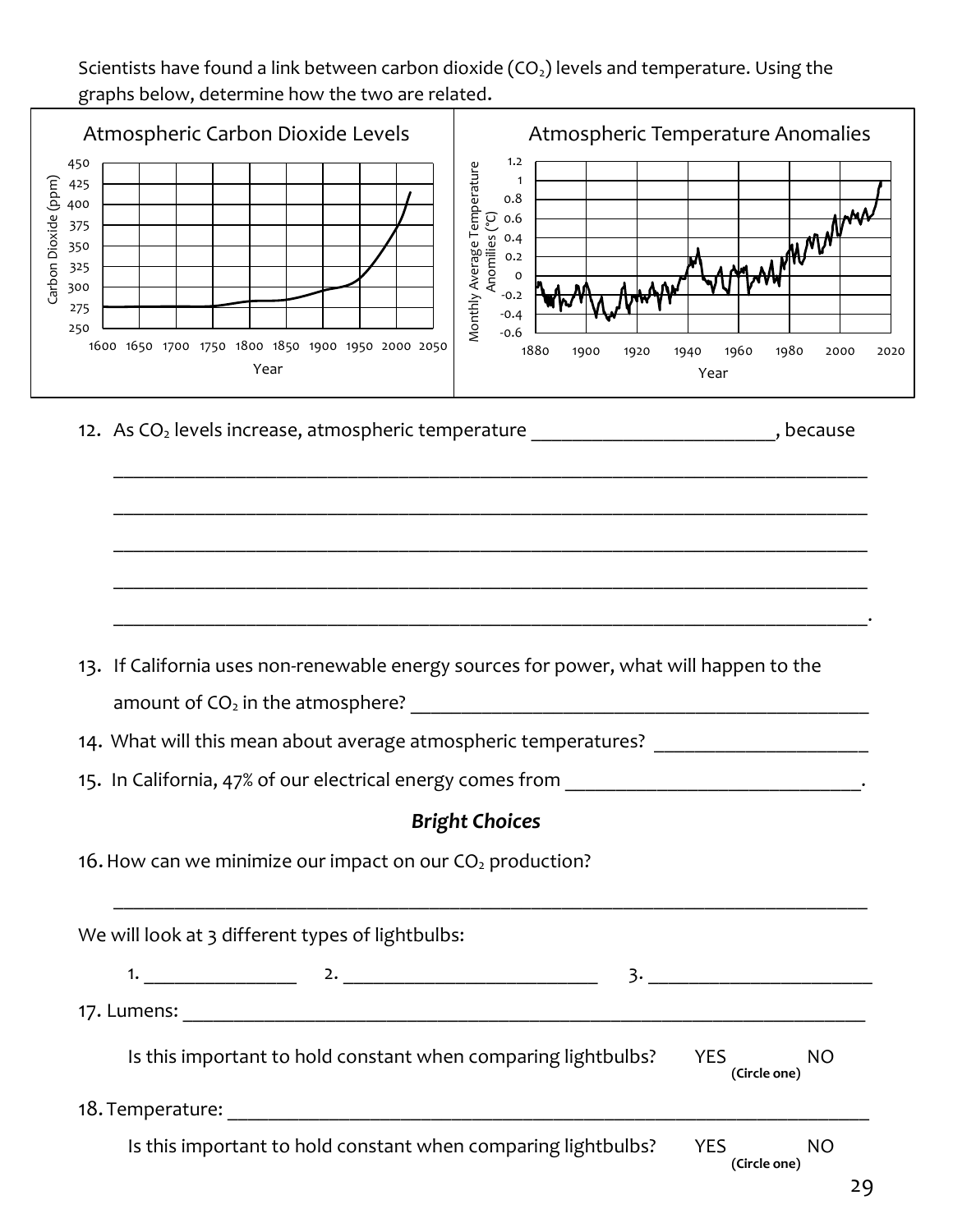Scientists have found a link between carbon dioxide  $(CO<sub>2</sub>)$  levels and temperature. Using the graphs below, determine how the two are related.

| Atmospheric Carbon Dioxide Levels<br>450<br>Carbon Dioxide (ppm)<br>425<br>400<br>375<br>350<br>325<br>300<br>275 | Atmospheric Temperature Anomalies<br>1.2<br>Monthly Average Temperature<br>$\mathbf 1$<br>0.8<br>Anomilies (°C)<br>0.6<br>0.4<br>0.2<br>o<br>$-0.2$ |
|-------------------------------------------------------------------------------------------------------------------|-----------------------------------------------------------------------------------------------------------------------------------------------------|
| 250<br>1600 1650 1700 1750 1800 1850 1900 1950 2000 2050<br>Year                                                  | $-0.4$<br>$-0.6$<br>1880<br>1960<br>1980<br>1900<br>1920<br>1940<br>2000<br>2020<br>Year                                                            |
| 12. As CO <sub>2</sub> levels increase, atmospheric temperature                                                   | , because                                                                                                                                           |
| 13. If California uses non-renewable energy sources for power, what will happen to the                            |                                                                                                                                                     |
| amount of $CO2$ in the atmosphere?                                                                                |                                                                                                                                                     |
| 14. What will this mean about average atmospheric temperatures?                                                   |                                                                                                                                                     |
| 15. In California, 47% of our electrical energy comes from                                                        |                                                                                                                                                     |
| 16. How can we minimize our impact on our CO <sub>2</sub> production?                                             | <b>Bright Choices</b>                                                                                                                               |
| We will look at 3 different types of lightbulbs:                                                                  |                                                                                                                                                     |
|                                                                                                                   |                                                                                                                                                     |
|                                                                                                                   |                                                                                                                                                     |
| Is this important to hold constant when comparing lightbulbs?                                                     | <b>YES</b><br><b>NO</b><br>(Circle one)                                                                                                             |
|                                                                                                                   |                                                                                                                                                     |
| Is this important to hold constant when comparing lightbulbs?                                                     | <b>YES</b><br><b>NO</b><br>(Circle one)                                                                                                             |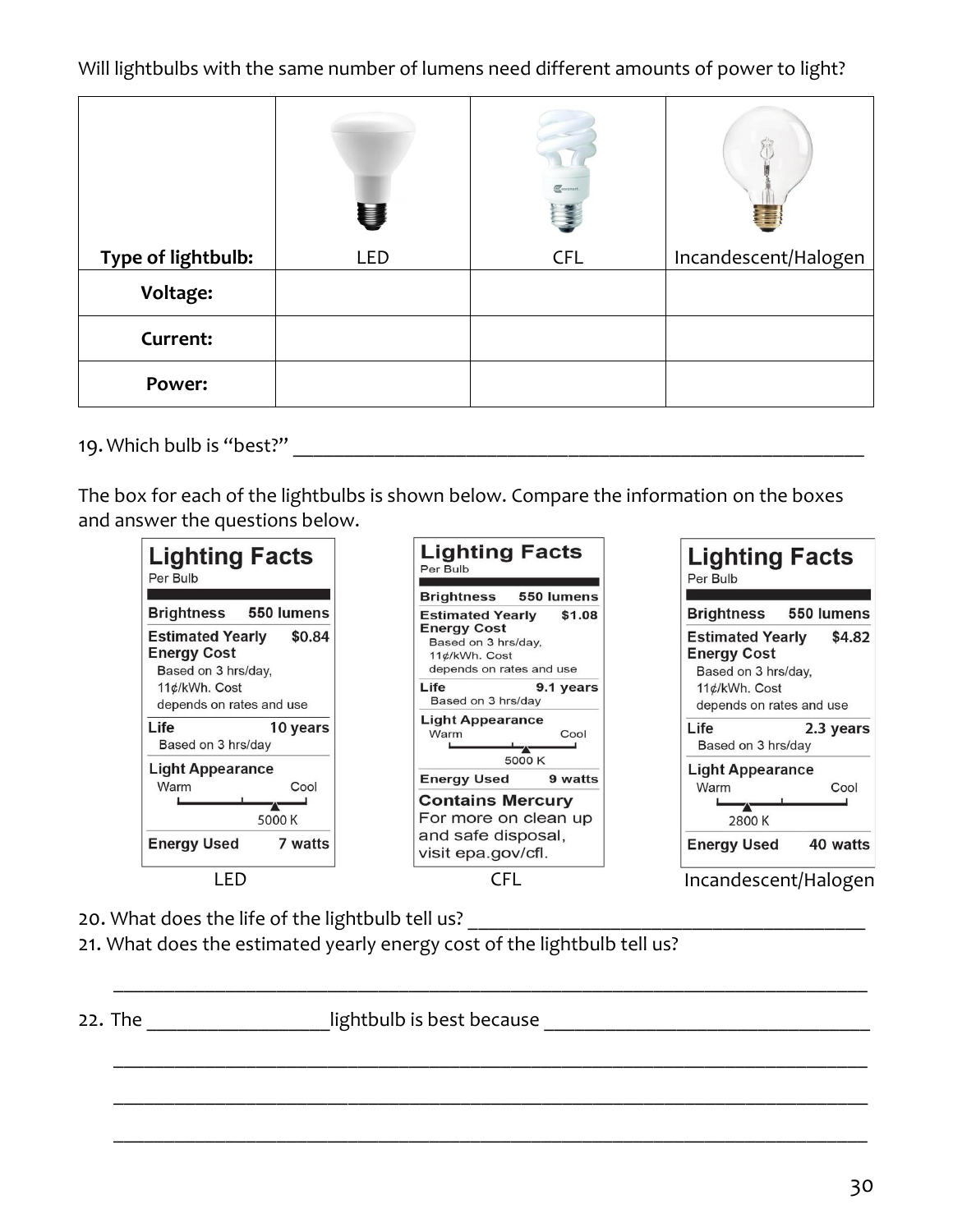Will lightbulbs with the same number of lumens need different amounts of power to light?

|                    | U          | Construct  |                      |
|--------------------|------------|------------|----------------------|
| Type of lightbulb: | <b>LED</b> | <b>CFL</b> | Incandescent/Halogen |
| Voltage:           |            |            |                      |
| Current:           |            |            |                      |
| Power:             |            |            |                      |

19. Which bulb is "best?"

The box for each of the lightbulbs is shown below. Compare the information on the boxes and answer the questions below.



20. What does the life of the lightbulb tell us?

21. What does the estimated yearly energy cost of the lightbulb tell us?

22. The dightbulb is best because **EXECUTE:** The distance and the lightbulb is best because **LECUTE:**  $\frac{1}{2}$ 

\_\_\_\_\_\_\_\_\_\_\_\_\_\_\_\_\_\_\_\_\_\_\_\_\_\_\_\_\_\_\_\_\_\_\_\_\_\_\_\_\_\_\_\_\_\_\_\_\_\_\_\_\_\_\_\_\_\_\_\_\_\_\_\_\_\_\_\_\_\_\_\_\_\_

\_\_\_\_\_\_\_\_\_\_\_\_\_\_\_\_\_\_\_\_\_\_\_\_\_\_\_\_\_\_\_\_\_\_\_\_\_\_\_\_\_\_\_\_\_\_\_\_\_\_\_\_\_\_\_\_\_\_\_\_\_\_\_\_\_\_\_\_\_\_\_\_\_\_

\_\_\_\_\_\_\_\_\_\_\_\_\_\_\_\_\_\_\_\_\_\_\_\_\_\_\_\_\_\_\_\_\_\_\_\_\_\_\_\_\_\_\_\_\_\_\_\_\_\_\_\_\_\_\_\_\_\_\_\_\_\_\_\_\_\_\_\_\_\_\_\_\_\_

\_\_\_\_\_\_\_\_\_\_\_\_\_\_\_\_\_\_\_\_\_\_\_\_\_\_\_\_\_\_\_\_\_\_\_\_\_\_\_\_\_\_\_\_\_\_\_\_\_\_\_\_\_\_\_\_\_\_\_\_\_\_\_\_\_\_\_\_\_\_\_\_\_\_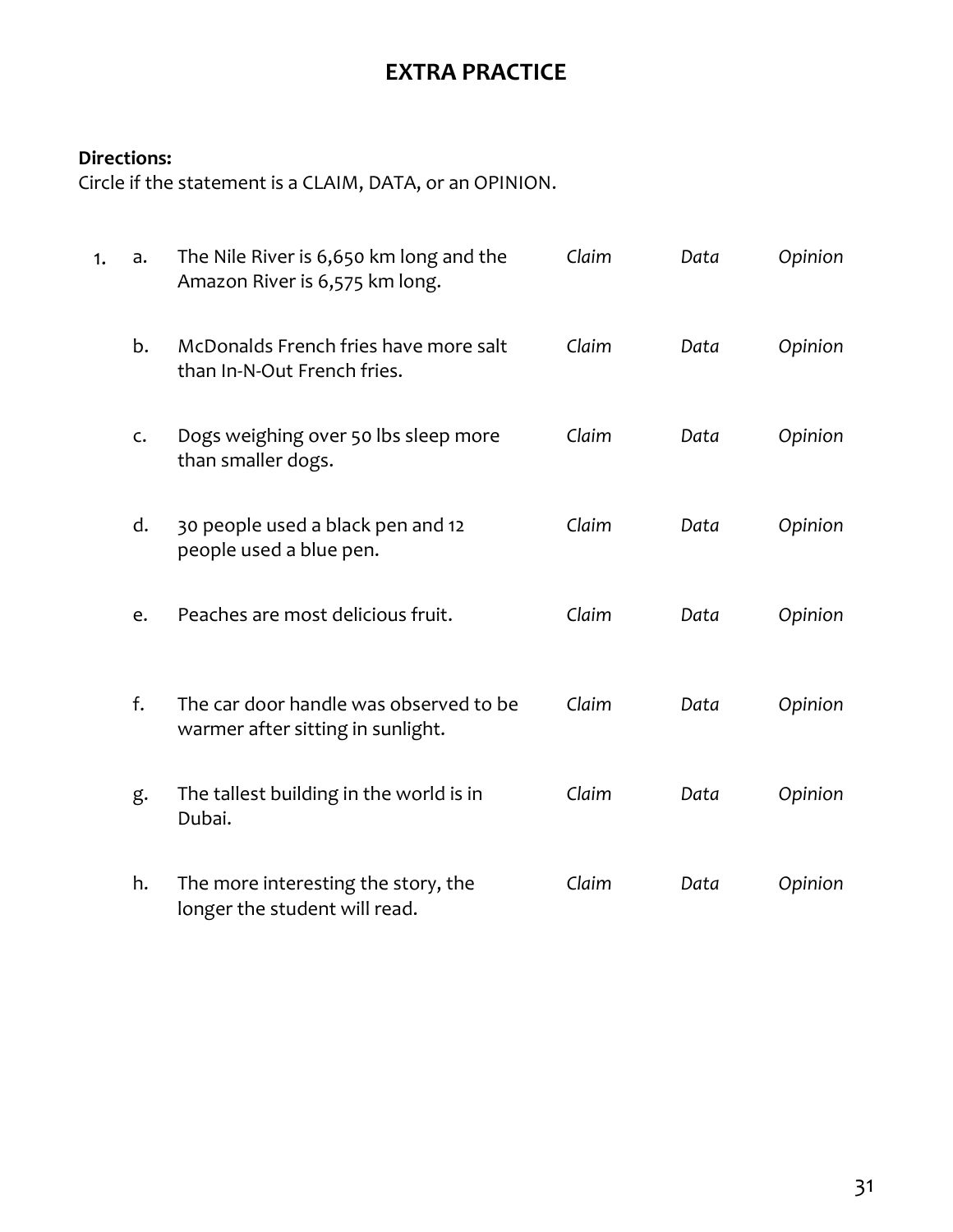# **EXTRA PRACTICE**

#### **Directions:**

Circle if the statement is a CLAIM, DATA, or an OPINION.

| 1. | a. | The Nile River is 6,650 km long and the<br>Amazon River is 6,575 km long.   | Claim | Data | Opinion |
|----|----|-----------------------------------------------------------------------------|-------|------|---------|
|    | b. | McDonalds French fries have more salt<br>than In-N-Out French fries.        | Claim | Data | Opinion |
|    | C. | Dogs weighing over 50 lbs sleep more<br>than smaller dogs.                  | Claim | Data | Opinion |
|    | d. | 30 people used a black pen and 12<br>people used a blue pen.                | Claim | Data | Opinion |
|    | e. | Peaches are most delicious fruit.                                           | Claim | Data | Opinion |
|    | f. | The car door handle was observed to be<br>warmer after sitting in sunlight. | Claim | Data | Opinion |
|    | g. | The tallest building in the world is in<br>Dubai.                           | Claim | Data | Opinion |
|    | h. | The more interesting the story, the<br>longer the student will read.        | Claim | Data | Opinion |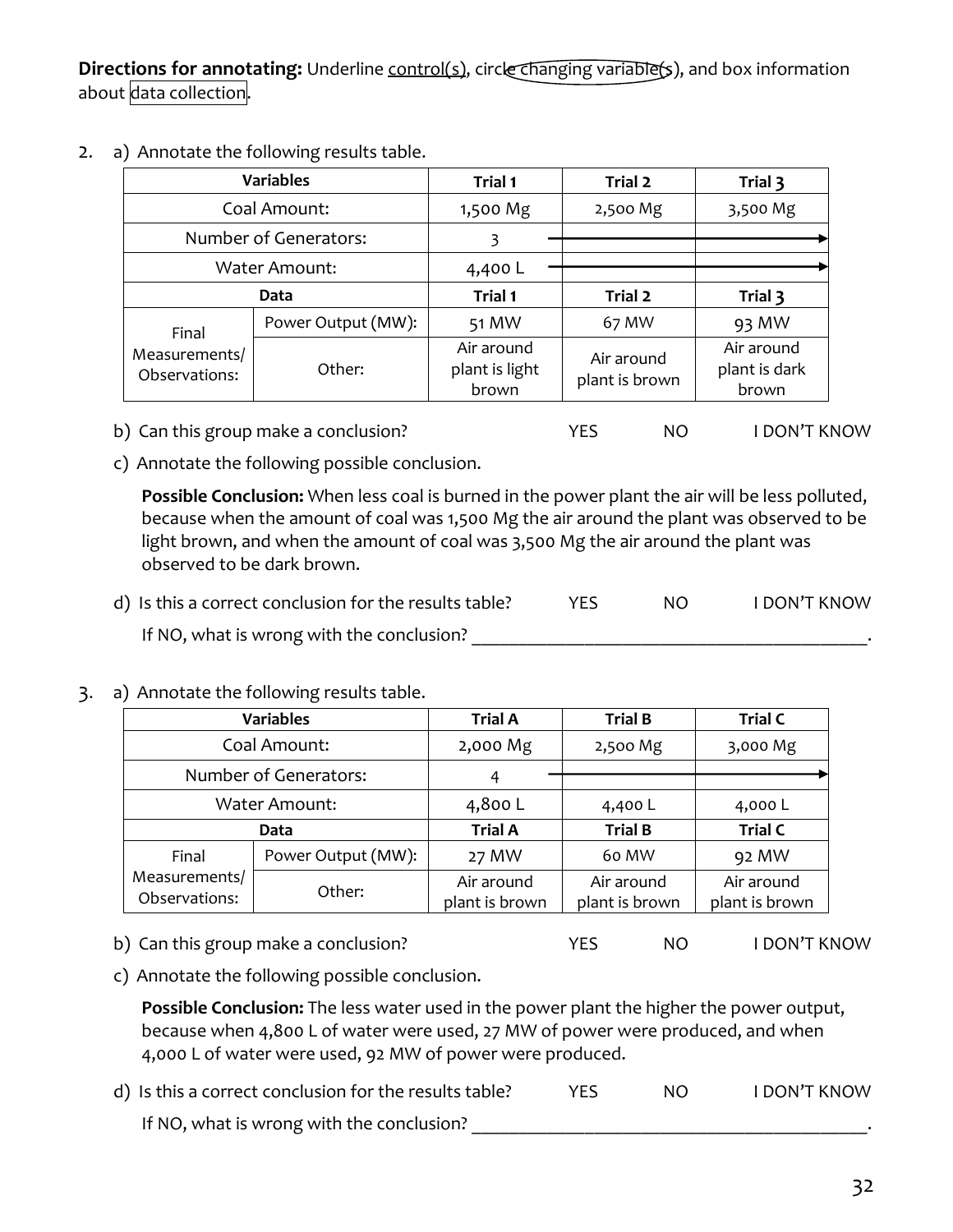**Directions for annotating:** Underline control(s), circle changing variable(s), and box information about data collection.

2. a) Annotate the following results table.

| <b>Variables</b>               |                    | <b>Trial 1</b>                        | Trial 2                      | Trial 3                              |
|--------------------------------|--------------------|---------------------------------------|------------------------------|--------------------------------------|
|                                | Coal Amount:       | 1,500 Mg                              | 2,500 Mg                     | 3,500 Mg                             |
| Number of Generators:          |                    | 3                                     |                              |                                      |
| <b>Water Amount:</b>           |                    | 4,400 L                               |                              |                                      |
| Data                           |                    | Trial 1                               | Trial 2                      | Trial 3                              |
| Final                          | Power Output (MW): | 51 MW                                 | 67 MW                        | 93 MW                                |
| Measurements/<br>Observations: | Other:             | Air around<br>plant is light<br>brown | Air around<br>plant is brown | Air around<br>plant is dark<br>brown |

- b) Can this group make a conclusion? The MES NO I DON'T KNOW
- c) Annotate the following possible conclusion.

**Possible Conclusion:** When less coal is burned in the power plant the air will be less polluted, because when the amount of coal was 1,500 Mg the air around the plant was observed to be light brown, and when the amount of coal was 3,500 Mg the air around the plant was observed to be dark brown.

- d) Is this a correct conclusion for the results table? WES NO I DON'T KNOW If NO, what is wrong with the conclusion? \_\_\_\_\_\_\_\_\_\_\_\_\_\_\_\_\_\_\_\_\_\_\_\_\_\_\_\_\_\_\_\_\_\_\_\_\_\_\_\_\_\_.
- 3. a) Annotate the following results table.

| <b>Variables</b>               |                    | <b>Trial A</b>               | <b>Trial B</b>               | <b>Trial C</b>               |
|--------------------------------|--------------------|------------------------------|------------------------------|------------------------------|
|                                | Coal Amount:       | 2,000 Mg                     | 2,500 Mg                     | 3,000 Mg                     |
| Number of Generators:          |                    | 4                            |                              |                              |
| <b>Water Amount:</b>           |                    | 4,800 L                      | 4,400 L                      | 4,000 L                      |
| <b>Data</b>                    |                    | <b>Trial A</b>               | <b>Trial B</b>               | <b>Trial C</b>               |
| Final                          | Power Output (MW): | 27 MW                        | 60 MW                        | 92 MW                        |
| Measurements/<br>Observations: | Other:             | Air around<br>plant is brown | Air around<br>plant is brown | Air around<br>plant is brown |

- b) Can this group make a conclusion? The MES NO I DON'T KNOW
- c) Annotate the following possible conclusion.

**Possible Conclusion:** The less water used in the power plant the higher the power output, because when 4,800 L of water were used, 27 MW of power were produced, and when 4,000 L of water were used, 92 MW of power were produced.

d) Is this a correct conclusion for the results table? The MO THE MON'T KNOW If NO, what is wrong with the conclusion? \_\_\_\_\_\_\_\_\_\_\_\_\_\_\_\_\_\_\_\_\_\_\_\_\_\_\_\_\_\_\_\_\_\_\_\_\_\_\_\_\_\_.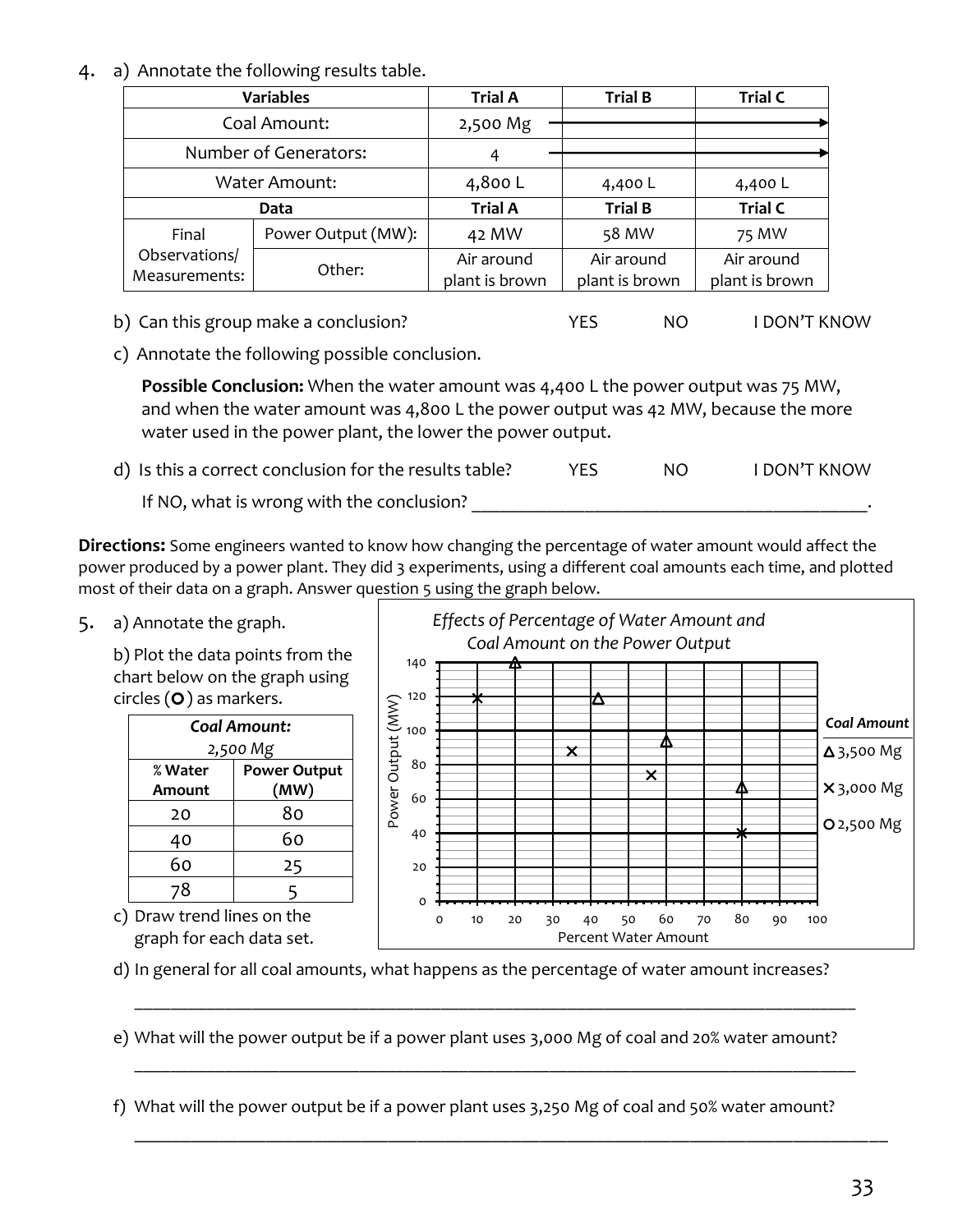#### 4. a) Annotate the following results table.

| <b>Variables</b>               |                    | <b>Trial A</b>               | <b>Trial B</b>               | <b>Trial C</b>               |
|--------------------------------|--------------------|------------------------------|------------------------------|------------------------------|
|                                | Coal Amount:       | 2,500 Mg                     |                              |                              |
| Number of Generators:          |                    | 4                            |                              |                              |
| <b>Water Amount:</b>           |                    | 4,800 L                      | 4,400 L                      | 4,400 L                      |
| <b>Data</b>                    |                    | <b>Trial A</b>               | <b>Trial B</b>               | <b>Trial C</b>               |
| Final                          | Power Output (MW): | 42 MW                        | 58 MW                        | 75 MW                        |
| Observations/<br>Measurements: | Other:             | Air around<br>plant is brown | Air around<br>plant is brown | Air around<br>plant is brown |

- b) Can this group make a conclusion? The MES NO I DON'T KNOW
- c) Annotate the following possible conclusion.

**Possible Conclusion:** When the water amount was 4,400 L the power output was 75 MW, and when the water amount was 4,800 L the power output was 42 MW, because the more water used in the power plant, the lower the power output.

d) Is this a correct conclusion for the results table? YES NO I DON'T KNOW If NO, what is wrong with the conclusion?

**Directions:** Some engineers wanted to know how changing the percentage of water amount would affect the power produced by a power plant. They did 3 experiments, using a different coal amounts each time, and plotted most of their data on a graph. Answer question 5 using the graph below.

5. a) Annotate the graph.

b) Plot the data points from the chart below on the graph using circles  $(O)$  as markers.

| Coal Amount:<br>2,500 Mg |                             |  |  |
|--------------------------|-----------------------------|--|--|
| % Water<br>Amount        | <b>Power Output</b><br>(MW) |  |  |
| 20                       | 80                          |  |  |
| 40                       | 60                          |  |  |
| 60                       | 25                          |  |  |
| 78                       | 5                           |  |  |

c) Draw trend lines on the graph for each data set.



d) In general for all coal amounts, what happens as the percentage of water amount increases?

e) What will the power output be if a power plant uses 3,000 Mg of coal and 20% water amount?

\_\_\_\_\_\_\_\_\_\_\_\_\_\_\_\_\_\_\_\_\_\_\_\_\_\_\_\_\_\_\_\_\_\_\_\_\_\_\_\_\_\_\_\_\_\_\_\_\_\_\_\_\_\_\_\_\_\_\_\_\_\_\_\_\_\_\_\_\_\_\_\_\_\_\_\_\_\_\_\_

\_\_\_\_\_\_\_\_\_\_\_\_\_\_\_\_\_\_\_\_\_\_\_\_\_\_\_\_\_\_\_\_\_\_\_\_\_\_\_\_\_\_\_\_\_\_\_\_\_\_\_\_\_\_\_\_\_\_\_\_\_\_\_\_\_\_\_\_\_\_\_\_\_\_\_\_\_\_\_\_

\_\_\_\_\_\_\_\_\_\_\_\_\_\_\_\_\_\_\_\_\_\_\_\_\_\_\_\_\_\_\_\_\_\_\_\_\_\_\_\_\_\_\_\_\_\_\_\_\_\_\_\_\_\_\_\_\_\_\_\_\_\_\_\_\_\_\_\_\_\_\_\_\_\_\_\_\_\_\_\_

f) What will the power output be if a power plant uses 3,250 Mg of coal and 50% water amount?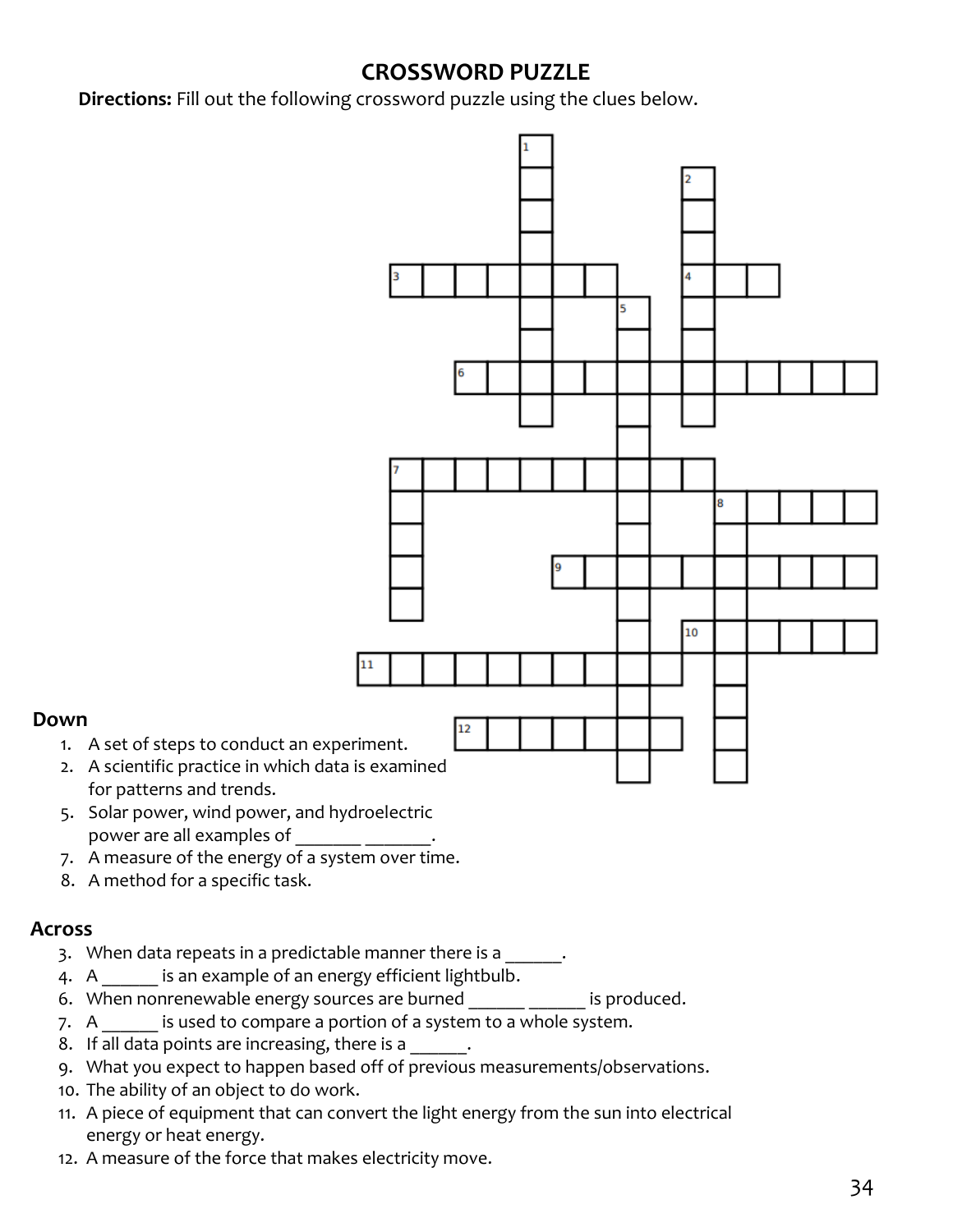## **CROSSWORD PUZZLE**

**Directions:** Fill out the following crossword puzzle using the clues below.



- 4. A \_\_\_\_\_\_ is an example of an energy efficient lightbulb.
- 6. When nonrenewable energy sources are burned **in the same is produced**.
- 7. A same is used to compare a portion of a system to a whole system.
- 8. If all data points are increasing, there is a  $\blacksquare$ .
- 9. What you expect to happen based off of previous measurements/observations.
- 10. The ability of an object to do work.
- 11. A piece of equipment that can convert the light energy from the sun into electrical energy or heat energy.
- 12. A measure of the force that makes electricity move.